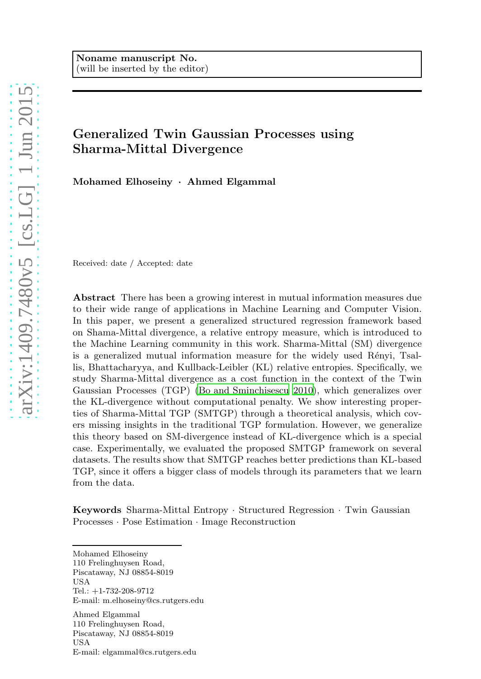# Generalized Twin Gaussian Processes using Sharma-Mittal Divergence

Mohamed Elhoseiny · Ahmed Elgammal

Received: date / Accepted: date

Abstract There has been a growing interest in mutual information measures due to their wide range of applications in Machine Learning and Computer Vision. In this paper, we present a generalized structured regression framework based on Shama-Mittal divergence, a relative entropy measure, which is introduced to the Machine Learning community in this work. Sharma-Mittal (SM) divergence is a generalized mutual information measure for the widely used Rényi, Tsallis, Bhattacharyya, and Kullback-Leibler (KL) relative entropies. Specifically, we study Sharma-Mittal divergence as a cost function in the context of the Twin Gaussian Processes (TGP) [\(Bo and Sminchisescu 2010](#page-23-0)), which generalizes over the KL-divergence without computational penalty. We show interesting properties of Sharma-Mittal TGP (SMTGP) through a theoretical analysis, which covers missing insights in the traditional TGP formulation. However, we generalize this theory based on SM-divergence instead of KL-divergence which is a special case. Experimentally, we evaluated the proposed SMTGP framework on several datasets. The results show that SMTGP reaches better predictions than KL-based TGP, since it offers a bigger class of models through its parameters that we learn from the data.

Keywords Sharma-Mittal Entropy · Structured Regression · Twin Gaussian Processes · Pose Estimation · Image Reconstruction

Mohamed Elhoseiny 110 Frelinghuysen Road, Piscataway, NJ 08854-8019 USA Tel.: +1-732-208-9712 E-mail: m.elhoseiny@cs.rutgers.edu

Ahmed Elgammal 110 Frelinghuysen Road, Piscataway, NJ 08854-8019 USA E-mail: elgammal@cs.rutgers.edu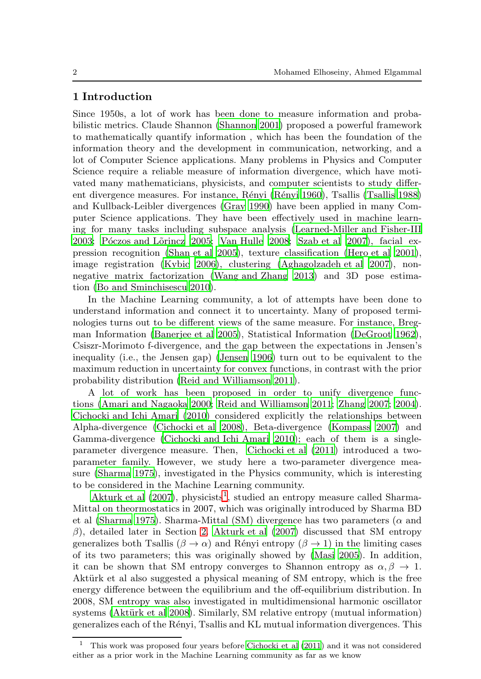## 1 Introduction

Since 1950s, a lot of work has been done to measure information and probabilistic metrics. Claude Shannon [\(Shannon 2001\)](#page-24-0) proposed a powerful framework to mathematically quantify information , which has been the foundation of the information theory and the development in communication, networking, and a lot of Computer Science applications. Many problems in Physics and Computer Science require a reliable measure of information divergence, which have motivated many mathematicians, physicists, and computer scientists to study differ-ent divergence measures. For instance, Rényi (Rényi 1960), Tsallis [\(Tsallis 1988\)](#page-25-0) and Kullback-Leibler divergences [\(Gray 1990\)](#page-24-2) have been applied in many Computer Science applications. They have been effectively used in machine learning for many tasks including subspace analysis [\(Learned-Miller and Fisher-III](#page-24-3) [2003;](#page-24-3) Póczos and Lõrincz 2005; [Van Hulle 2008](#page-25-1); [Szab et al 2007](#page-25-2)), facial expression recognition [\(Shan et al 2005\)](#page-24-5), texture classification [\(Hero et al 2001](#page-24-6)), image registration [\(Kybic 2006\)](#page-24-7), clustering [\(Aghagolzadeh et al 2007\)](#page-23-1), nonnegative matrix factorization [\(Wang and Zhang 2013\)](#page-25-3) and 3D pose estimation [\(Bo and Sminchisescu 2010\)](#page-23-0).

In the Machine Learning community, a lot of attempts have been done to understand information and connect it to uncertainty. Many of proposed terminologies turns out to be different views of the same measure. For instance, Bregman Information [\(Banerjee et al 2005](#page-23-2)), Statistical Information [\(DeGroot 1962](#page-24-8)), Csiszr-Morimoto f-divergence, and the gap between the expectations in Jensen's inequality (i.e., the Jensen gap) [\(Jensen 1906\)](#page-24-9) turn out to be equivalent to the maximum reduction in uncertainty for convex functions, in contrast with the prior probability distribution [\(Reid and Williamson 2011\)](#page-24-10).

A lot of work has been proposed in order to unify divergence functions [\(Amari and Nagaoka 2000;](#page-23-3) [Reid and Williamson 2011;](#page-24-10) [Zhang 2007](#page-25-4); [2004](#page-25-5)). [Cichocki and Ichi Amari \(2010\)](#page-23-4) considered explicitly the relationships between Alpha-divergence [\(Cichocki et al 2008\)](#page-24-11), Beta-divergence [\(Kompass 2007\)](#page-24-12) and Gamma-divergence [\(Cichocki and Ichi Amari 2010\)](#page-23-4); each of them is a singleparameter divergence measure. Then, [Cichocki et al \(2011\)](#page-24-13) introduced a twoparameter family. However, we study here a two-parameter divergence measure [\(Sharma 1975\)](#page-24-14), investigated in the Physics community, which is interesting to be considered in the Machine Learning community.

Akturk et al  $(2007)$ , physicists<sup>[1](#page-1-0)</sup>, studied an entropy measure called Sharma-Mittal on theormostatics in 2007, which was originally introduced by Sharma BD et al [\(Sharma 1975\)](#page-24-14). Sharma-Mittal (SM) divergence has two parameters ( $\alpha$  and  $\beta$ ), detailed later in Section [2.](#page-2-0) [Akturk et al \(2007](#page-23-5)) discussed that SM entropy generalizes both Tsallis ( $\beta \to \alpha$ ) and Rényi entropy ( $\beta \to 1$ ) in the limiting cases of its two parameters; this was originally showed by [\(Masi 2005\)](#page-24-15). In addition, it can be shown that SM entropy converges to Shannon entropy as  $\alpha, \beta \rightarrow 1$ . Aktürk et al also suggested a physical meaning of SM entropy, which is the free energy difference between the equilibrium and the off-equilibrium distribution. In 2008, SM entropy was also investigated in multidimensional harmonic oscillator systems (Aktürk et al 2008). Similarly, SM relative entropy (mutual information) generalizes each of the R´enyi, Tsallis and KL mutual information divergences. This

<span id="page-1-0"></span><sup>1</sup> This work was proposed four years before [Cichocki et al \(2011](#page-24-13)) and it was not considered either as a prior work in the Machine Learning community as far as we know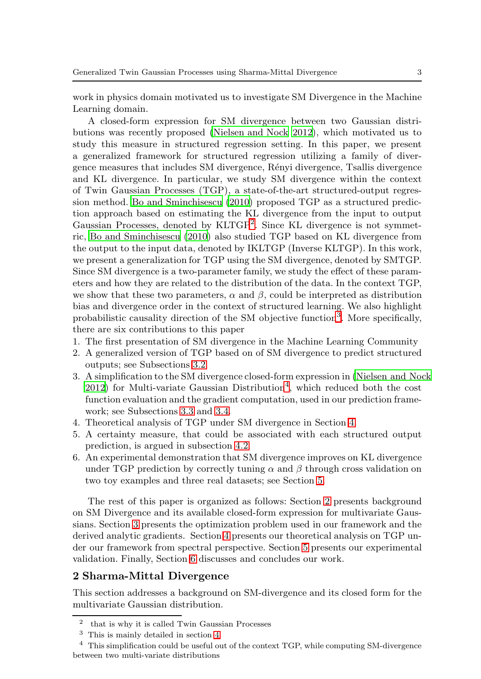work in physics domain motivated us to investigate SM Divergence in the Machine Learning domain.

A closed-form expression for SM divergence between two Gaussian distributions was recently proposed [\(Nielsen and Nock 2012\)](#page-24-16), which motivated us to study this measure in structured regression setting. In this paper, we present a generalized framework for structured regression utilizing a family of divergence measures that includes SM divergence, R´enyi divergence, Tsallis divergence and KL divergence. In particular, we study SM divergence within the context of Twin Gaussian Processes (TGP), a state-of-the-art structured-output regression method. [Bo and Sminchisescu \(2010\)](#page-23-0) proposed TGP as a structured prediction approach based on estimating the KL divergence from the input to output Gaussian Processes, denoted by KLTGP<sup>[2](#page-2-1)</sup>. Since KL divergence is not symmetric, [Bo and Sminchisescu \(2010\)](#page-23-0) also studied TGP based on KL divergence from the output to the input data, denoted by IKLTGP (Inverse KLTGP). In this work, we present a generalization for TGP using the SM divergence, denoted by SMTGP. Since SM divergence is a two-parameter family, we study the effect of these parameters and how they are related to the distribution of the data. In the context TGP, we show that these two parameters,  $\alpha$  and  $\beta$ , could be interpreted as distribution bias and divergence order in the context of structured learning. We also highlight probabilistic causality direction of the SM objective function<sup>[3](#page-2-2)</sup>. More specifically, there are six contributions to this paper

- 1. The first presentation of SM divergence in the Machine Learning Community
- 2. A generalized version of TGP based on of SM divergence to predict structured outputs; see Subsections [3.2.](#page-6-0)
- 3. A simplification to the SM divergence closed-form expression in [\(Nielsen and Nock](#page-24-16)  $2012$ ) for Multi-variate Gaussian Distribution<sup>[4](#page-2-3)</sup>, which reduced both the cost function evaluation and the gradient computation, used in our prediction framework; see Subsections [3.3](#page-7-0) and [3.4.](#page-8-0)
- 4. Theoretical analysis of TGP under SM divergence in Section [4.](#page-9-0)
- 5. A certainty measure, that could be associated with each structured output prediction, is argued in subsection [4.2.](#page-10-0)
- 6. An experimental demonstration that SM divergence improves on KL divergence under TGP prediction by correctly tuning  $\alpha$  and  $\beta$  through cross validation on two toy examples and three real datasets; see Section [5.](#page-13-0)

The rest of this paper is organized as follows: Section [2](#page-2-0) presents background on SM Divergence and its available closed-form expression for multivariate Gaussians. Section [3](#page-4-0) presents the optimization problem used in our framework and the derived analytic gradients. Section [4](#page-9-0) presents our theoretical analysis on TGP under our framework from spectral perspective. Section [5](#page-13-0) presents our experimental validation. Finally, Section [6](#page-18-0) discusses and concludes our work.

# <span id="page-2-0"></span>2 Sharma-Mittal Divergence

This section addresses a background on SM-divergence and its closed form for the multivariate Gaussian distribution.

<sup>2</sup> that is why it is called Twin Gaussian Processes

<span id="page-2-2"></span><span id="page-2-1"></span><sup>3</sup> This is mainly detailed in section [4](#page-9-0)

<span id="page-2-3"></span><sup>4</sup> This simplification could be useful out of the context TGP, while computing SM-divergence between two multi-variate distributions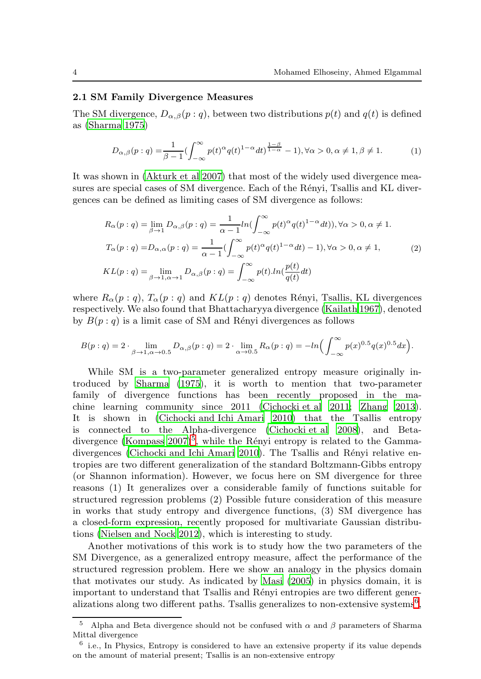### 2.1 SM Family Divergence Measures

The SM divergence,  $D_{\alpha,\beta}(p:q)$ , between two distributions  $p(t)$  and  $q(t)$  is defined as [\(Sharma 1975\)](#page-24-14)

$$
D_{\alpha,\beta}(p:q) = \frac{1}{\beta - 1} \left( \int_{-\infty}^{\infty} p(t)^{\alpha} q(t)^{1 - \alpha} dt \right)^{\frac{1 - \beta}{1 - \alpha}} - 1, \forall \alpha > 0, \alpha \neq 1, \beta \neq 1.
$$
 (1)

<span id="page-3-2"></span>It was shown in [\(Akturk et al 2007\)](#page-23-5) that most of the widely used divergence measures are special cases of SM divergence. Each of the Rényi, Tsallis and KL divergences can be defined as limiting cases of SM divergence as follows:

$$
R_{\alpha}(p:q) = \lim_{\beta \to 1} D_{\alpha,\beta}(p:q) = \frac{1}{\alpha - 1} ln(\int_{-\infty}^{\infty} p(t)^{\alpha} q(t)^{1-\alpha} dt)), \forall \alpha > 0, \alpha \neq 1.
$$
  

$$
T_{\alpha}(p:q) = D_{\alpha,\alpha}(p:q) = \frac{1}{\alpha - 1} (\int_{-\infty}^{\infty} p(t)^{\alpha} q(t)^{1-\alpha} dt) - 1), \forall \alpha > 0, \alpha \neq 1,
$$
  

$$
KL(p:q) = \lim_{\beta \to 1, \alpha \to 1} D_{\alpha,\beta}(p:q) = \int_{-\infty}^{\infty} p(t) ln(\frac{p(t)}{q(t)} dt)
$$
 (2)

where  $R_{\alpha}(p: q)$ ,  $T_{\alpha}(p: q)$  and  $KL(p: q)$  denotes Rényi, Tsallis, KL divergences respectively. We also found that Bhattacharyya divergence [\(Kailath 1967\)](#page-24-17), denoted by  $B(p: q)$  is a limit case of SM and Rényi divergences as follows

$$
B(p:q) = 2 \cdot \lim_{\beta \to 1, \alpha \to 0.5} D_{\alpha,\beta}(p:q) = 2 \cdot \lim_{\alpha \to 0.5} R_{\alpha}(p:q) = -\ln \Big( \int_{-\infty}^{\infty} p(x)^{0.5} q(x)^{0.5} dx \Big).
$$

While SM is a two-parameter generalized entropy measure originally introduced by [Sharma \(1975](#page-24-14)), it is worth to mention that two-parameter family of divergence functions has been recently proposed in the machine learning community since 2011 [\(Cichocki et al 2011](#page-24-13); [Zhang 2013](#page-25-6)). It is shown in [\(Cichocki and Ichi Amari 2010\)](#page-23-4) that the Tsallis entropy is connected to the Alpha-divergence [\(Cichocki et al 2008\)](#page-24-11), and Betadivergence (Kompass  $2007$ <sup>[5](#page-3-0)</sup>, while the Rényi entropy is related to the Gamma-divergences [\(Cichocki and Ichi Amari 2010](#page-23-4)). The Tsallis and Rényi relative entropies are two different generalization of the standard Boltzmann-Gibbs entropy (or Shannon information). However, we focus here on SM divergence for three reasons (1) It generalizes over a considerable family of functions suitable for structured regression problems (2) Possible future consideration of this measure in works that study entropy and divergence functions, (3) SM divergence has a closed-form expression, recently proposed for multivariate Gaussian distributions [\(Nielsen and Nock 2012\)](#page-24-16), which is interesting to study.

Another motivations of this work is to study how the two parameters of the SM Divergence, as a generalized entropy measure, affect the performance of the structured regression problem. Here we show an analogy in the physics domain that motivates our study. As indicated by [Masi \(2005\)](#page-24-15) in physics domain, it is important to understand that Tsallis and Rényi entropies are two different gener-alizations along two different paths. Tsallis generalizes to non-extensive systems<sup>[6](#page-3-1)</sup>,

<span id="page-3-0"></span><sup>&</sup>lt;sup>5</sup> Alpha and Beta divergence should not be confused with  $\alpha$  and  $\beta$  parameters of Sharma Mittal divergence

<span id="page-3-1"></span><sup>6</sup> i.e., In Physics, Entropy is considered to have an extensive property if its value depends on the amount of material present; Tsallis is an non-extensive entropy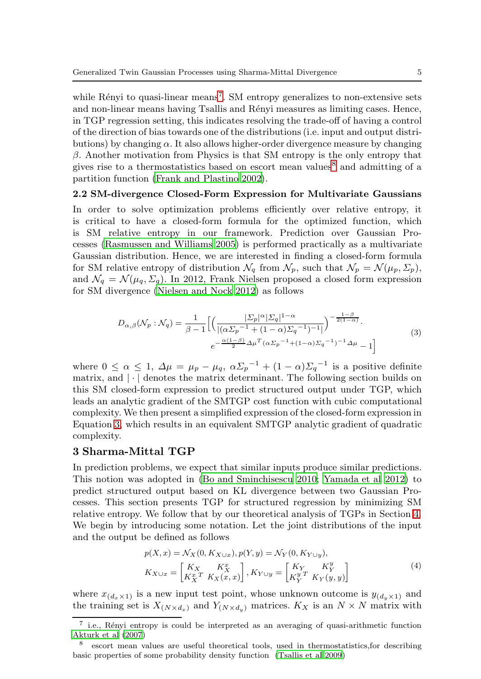while Rényi to quasi-linear means<sup>[7](#page-4-1)</sup>. SM entropy generalizes to non-extensive sets and non-linear means having Tsallis and Rényi measures as limiting cases. Hence, in TGP regression setting, this indicates resolving the trade-off of having a control of the direction of bias towards one of the distributions (i.e. input and output distributions) by changing  $\alpha$ . It also allows higher-order divergence measure by changing  $\beta$ . Another motivation from Physics is that SM entropy is the only entropy that gives rise to a thermostatistics based on escort mean values<sup>[8](#page-4-2)</sup> and admitting of a partition function [\(Frank and Plastino 2002\)](#page-24-18).

#### 2.2 SM-divergence Closed-Form Expression for Multivariate Gaussians

In order to solve optimization problems efficiently over relative entropy, it is critical to have a closed-form formula for the optimized function, which is SM relative entropy in our framework. Prediction over Gaussian Processes [\(Rasmussen and Williams 2005](#page-24-19)) is performed practically as a multivariate Gaussian distribution. Hence, we are interested in finding a closed-form formula for SM relative entropy of distribution  $\mathcal{N}_q$  from  $\mathcal{N}_p$ , such that  $\mathcal{N}_p = \mathcal{N}(\mu_p, \Sigma_p)$ , and  $\mathcal{N}_q = \mathcal{N}(\mu_q, \Sigma_q)$ . In 2012, Frank Nielsen proposed a closed form expression for SM divergence [\(Nielsen and Nock 2012\)](#page-24-16) as follows

$$
D_{\alpha,\beta}(\mathcal{N}_p : \mathcal{N}_q) = \frac{1}{\beta - 1} \Big[ \Big( \frac{|\Sigma_p|^{\alpha} |\Sigma_q|^{1 - \alpha}}{|(\alpha \Sigma_p^{-1} + (1 - \alpha) \Sigma_q^{-1})^{-1}|} \Big)^{-\frac{1 - \beta}{2(1 - \alpha)}} \cdot \Big]
$$
  

$$
e^{-\frac{\alpha (1 - \beta)}{2} \Delta \mu^T (\alpha \Sigma_p^{-1} + (1 - \alpha) \Sigma_q^{-1})^{-1} \Delta \mu} - 1 \Big]
$$

$$
(3)
$$

<span id="page-4-3"></span>where  $0 \leq \alpha \leq 1$ ,  $\Delta \mu = \mu_p - \mu_q$ ,  $\alpha \Sigma_p^{-1} + (1 - \alpha) \Sigma_q^{-1}$  is a positive definite matrix, and  $|\cdot|$  denotes the matrix determinant. The following section builds on this SM closed-form expression to predict structured output under TGP, which leads an analytic gradient of the SMTGP cost function with cubic computational complexity. We then present a simplified expression of the closed-form expression in Equation [3,](#page-4-3) which results in an equivalent SMTGP analytic gradient of quadratic complexity.

### <span id="page-4-0"></span>3 Sharma-Mittal TGP

In prediction problems, we expect that similar inputs produce similar predictions. This notion was adopted in [\(Bo and Sminchisescu 2010;](#page-23-0) [Yamada](#page-25-7) et al [2012](#page-25-7)) to predict structured output based on KL divergence between two Gaussian Processes. This section presents TGP for structured regression by minimizing SM relative entropy. We follow that by our theoretical analysis of TGPs in Section [4.](#page-9-0) We begin by introducing some notation. Let the joint distributions of the input and the output be defined as follows

$$
p(X, x) = \mathcal{N}_X(0, K_{X \cup x}), p(Y, y) = \mathcal{N}_Y(0, K_{Y \cup y}),
$$
  
\n
$$
K_{X \cup x} = \begin{bmatrix} K_X & K_X^x \\ K_X^x & K_X(x, x) \end{bmatrix}, K_{Y \cup y} = \begin{bmatrix} K_Y & K_Y^y \\ K_Y^y & K_Y(y, y) \end{bmatrix}
$$
\n(4)

where  $x_{(d_x \times 1)}$  is a new input test point, whose unknown outcome is  $y_{(d_y \times 1)}$  and the training set is  $X_{(N \times d_x)}$  and  $Y_{(N \times d_y)}$  matrices.  $K_X$  is an  $N \times N$  matrix with

<span id="page-4-1"></span> $\frac{7}{1}$  i.e., Rényi entropy is could be interpreted as an averaging of quasi-arithmetic function [Akturk et al \(2007\)](#page-23-5)

<span id="page-4-2"></span><sup>8</sup> escort mean values are useful theoretical tools, used in thermostatistics,for describing basic properties of some probability density function [\(Tsallis et al 2009\)](#page-25-8)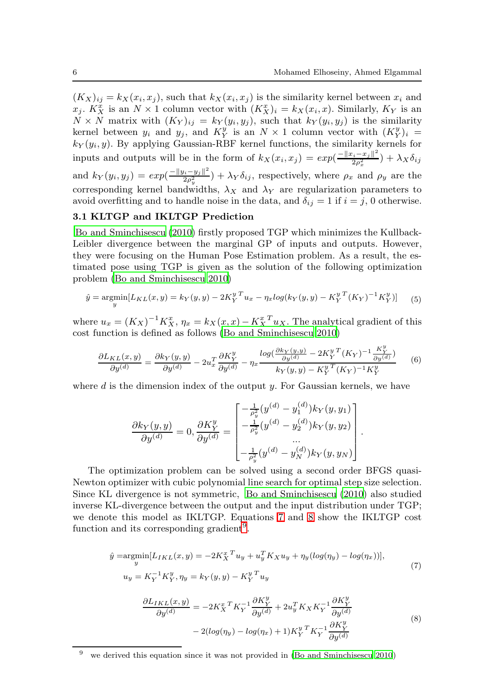.

 $(K_X)_{ij} = k_X(x_i, x_j)$ , such that  $k_X(x_i, x_j)$  is the similarity kernel between  $x_i$  and  $x_j$ .  $K_X^x$  is an  $N \times 1$  column vector with  $(K_X^x)_i = k_X(x_i, x)$ . Similarly,  $K_Y$  is an  $N \times N$  matrix with  $(K_Y)_{ij} = k_Y(y_i, y_j)$ , such that  $k_Y(y_i, y_j)$  is the similarity kernel between  $y_i$  and  $y_j$ , and  $K_Y^y$  is an  $N \times 1$  column vector with  $(K_Y^y)_i =$  $k_Y(y_i, y)$ . By applying Gaussian-RBF kernel functions, the similarity kernels for inputs and outputs will be in the form of  $k_X(x_i, x_j) = exp(\frac{-||x_i - x_j||^2}{2a^2})$  $\frac{z_i - x_j \Vert}{2 \rho_x^2}$ ) +  $\lambda_X \delta_{ij}$ and  $k_Y(y_i, y_j) = exp(\frac{-||y_i - y_j||^2}{2a^2})$  $\frac{\partial i - y_j}{\partial \rho_y^2}$  +  $\lambda_Y \delta_{ij}$ , respectively, where  $\rho_x$  and  $\rho_y$  are the corresponding kernel bandwidths,  $\lambda_X$  and  $\lambda_Y$  are regularization parameters to avoid overfitting and to handle noise in the data, and  $\delta_{ij} = 1$  if  $i = j$ , 0 otherwise.

### 3.1 KLTGP and IKLTGP Prediction

[Bo and Sminchisescu \(2010\)](#page-23-0) firstly proposed TGP which minimizes the Kullback-Leibler divergence between the marginal GP of inputs and outputs. However, they were focusing on the Human Pose Estimation problem. As a result, the estimated pose using TGP is given as the solution of the following optimization problem [\(Bo and Sminchisescu 2010\)](#page-23-0)

$$
\hat{y} = \underset{y}{\text{argmin}} [L_{KL}(x, y) = k_Y(y, y) - 2K_Y^{y \, T} u_x - \eta_x \log(k_Y(y, y) - K_Y^{y \, T}(K_Y)^{-1} K_Y^{y})] \tag{5}
$$

where  $u_x = (K_X)^{-1} K_X^x$ ,  $\eta_x = k_X(x, x) - K_X^{x} u_x$ . The analytical gradient of this cost function is defined as follows [\(Bo and Sminchisescu 2010](#page-23-0))

$$
\frac{\partial L_{KL}(x,y)}{\partial y^{(d)}} = \frac{\partial k_Y(y,y)}{\partial y^{(d)}} - 2u_x^T \frac{\partial K_Y^y}{\partial y^{(d)}} - \eta_x \frac{\log(\frac{\partial k_Y(y,y)}{\partial y^{(d)}} - 2K_Y^y{}^T (K_Y)^{-1} \frac{K_Y^y}{\partial y^{(d)}})}{k_Y(y,y) - K_Y^y{}^T (K_Y)^{-1} K_Y^y} \tag{6}
$$

<span id="page-5-3"></span>where  $d$  is the dimension index of the output  $y$ . For Gaussian kernels, we have

$$
\frac{\partial k_Y(y,y)}{\partial y^{(d)}} = 0, \frac{\partial K_Y^y}{\partial y^{(d)}} = \begin{bmatrix} -\frac{1}{\rho_y^2}(y^{(d)} - y_1^{(d)})k_Y(y,y_1) \\ -\frac{1}{\rho_y^2}(y^{(d)} - y_2^{(d)})k_Y(y,y_2) \\ \cdots \\ -\frac{1}{\rho_y^2}(y^{(d)} - y_N^{(d)})k_Y(y,y_N) \end{bmatrix}
$$

The optimization problem can be solved using a second order BFGS quasi-Newton optimizer with cubic polynomial line search for optimal step size selection. Since KL divergence is not symmetric, [Bo and Sminchisescu \(2010\)](#page-23-0) also studied inverse KL-divergence between the output and the input distribution under TGP; we denote this model as IKLTGP. Equations [7](#page-5-0) and [8](#page-5-1) show the IKLTGP cost function and its corresponding gradient<sup>[9](#page-5-2)</sup>.

<span id="page-5-0"></span>
$$
\hat{y} = \underset{y}{\operatorname{argmin}} [L_{IKL}(x, y) = -2K_X^{xT} u_y + u_y^{T} K_X u_y + \eta_y (\log(\eta_y) - \log(\eta_x))],
$$
  
\n
$$
u_y = K_Y^{-1} K_Y^{y}, \eta_y = k_Y(y, y) - K_Y^{yT} u_y
$$
\n(7)

$$
\frac{\partial L_{IKL}(x,y)}{\partial y^{(d)}} = -2K_X^{x^T} K_Y^{-1} \frac{\partial K_Y^y}{\partial y^{(d)}} + 2u_y^T K_X K_Y^{-1} \frac{\partial K_Y^y}{\partial y^{(d)}} \n-2(log(\eta_y) - log(\eta_x) + 1) K_Y^y^T K_Y^{-1} \frac{\partial K_Y^y}{\partial y^{(d)}} \tag{8}
$$

<span id="page-5-2"></span><span id="page-5-1"></span> $9$  we derived this equation since it was not provided in [\(Bo and Sminchisescu 2010](#page-23-0))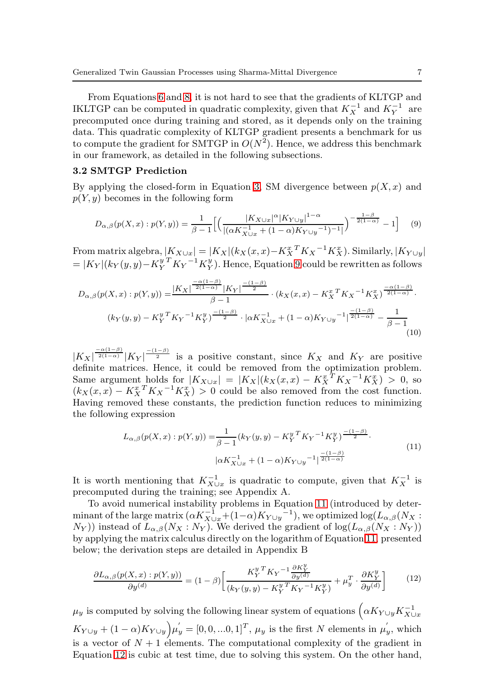From Equations [6](#page-5-3) and [8,](#page-5-1) it is not hard to see that the gradients of KLTGP and IKLTGP can be computed in quadratic complexity, given that  $K_X^{-1}$  and  $K_Y^{-1}$  are precomputed once during training and stored, as it depends only on the training data. This quadratic complexity of KLTGP gradient presents a benchmark for us to compute the gradient for SMTGP in  $O(N^2)$ . Hence, we address this benchmark in our framework, as detailed in the following subsections.

#### <span id="page-6-0"></span>3.2 SMTGP Prediction

By applying the closed-form in Equation [3,](#page-4-3) SM divergence between  $p(X, x)$  and  $p(Y, y)$  becomes in the following form

<span id="page-6-1"></span>
$$
D_{\alpha,\beta}(p(X,x):p(Y,y)) = \frac{1}{\beta - 1} \Big[ \Big( \frac{|K_{X \cup x}|^{\alpha} |K_{Y \cup y}|^{1 - \alpha}}{|(\alpha K_{X \cup x}^{-1} + (1 - \alpha) K_{Y \cup y}^{-1})^{-1}|} \Big)^{-\frac{1 - \beta}{2(1 - \alpha)}} - 1 \Big] \tag{9}
$$

From matrix algebra,  $|K_{X\cup x}| = |K_X|(k_X(x,x) - K_X^{x,T}K_X^{-1}K_X^x)$ . Similarly,  $|K_{Y\cup y}|$  $= |K_Y|(k_Y(y, y) - K_Y^{y \ T} K_Y^{-1} K_Y^{y}).$  Hence, Equation [9](#page-6-1) could be rewritten as follows

$$
D_{\alpha,\beta}(p(X,x):p(Y,y)) = \frac{|K_X|^{\frac{-\alpha(1-\beta)}{2(1-\alpha)}}|K_Y|^{\frac{-(1-\beta)}{2}}}{\beta-1} \cdot (k_X(x,x) - K_X^{x} K_X^{-1} K_X^{x})^{\frac{-\alpha(1-\beta)}{2(1-\alpha)}}.
$$

$$
(k_Y(y,y) - K_Y^{y} K_Y^{-1} K_Y^{y})^{\frac{-(1-\beta)}{2}} \cdot |\alpha K_{X \cup x}^{-1} + (1-\alpha) K_{Y \cup y}^{-1}|^{\frac{-(1-\beta)}{2(1-\alpha)}} - \frac{1}{\beta-1}
$$
(10)

 $|K_X|^{\frac{-\alpha(1-\beta)}{2(1-\alpha)}}|K_Y|^{\frac{-(1-\beta)}{2}}$  is a positive constant, since  $K_X$  and  $K_Y$  are positive definite matrices. Hence, it could be removed from the optimization problem. Same argument holds for  $|K_{X\cup x}| = |K_X|(k_X(x,x) - K_X^{x,T}K_X^{-1}K_X^{x}) > 0$ , so  $(k_X(x, x) - K_X^{x} K_X^{-1} K_X^{x}) > 0$  could be also removed from the cost function. Having removed these constants, the prediction function reduces to minimizing the following expression

$$
L_{\alpha,\beta}(p(X,x):p(Y,y)) = \frac{1}{\beta - 1} (k_Y(y,y) - K_Y^{y} K_Y^{-1} K_Y^{y})^{\frac{-(1-\beta)}{2}}.
$$
  

$$
|\alpha K_{X \cup x}^{-1} + (1 - \alpha) K_{Y \cup y}^{-1}|^{\frac{-(1-\beta)}{2(1-\alpha)}}.
$$
 (11)

<span id="page-6-2"></span>It is worth mentioning that  $K_{X\cup x}^{-1}$  is quadratic to compute, given that  $K_X^{-1}$  is precomputed during the training; see Appendix A.

To avoid numerical instability problems in Equation [11](#page-6-2) (introduced by determinant of the large matrix  $(\alpha K_{X\cup x}^{-1} + (1-\alpha)K_{Y\cup y}^{-1})$ , we optimized  $\log(L_{\alpha,\beta}(N_X:$  $(N_Y)$ ) instead of  $L_{\alpha,\beta}(N_X: N_Y)$ . We derived the gradient of  $log(L_{\alpha,\beta}(N_X: N_Y))$ by applying the matrix calculus directly on the logarithm of Equation [11,](#page-6-2) presented below; the derivation steps are detailed in Appendix B

<span id="page-6-3"></span>
$$
\frac{\partial L_{\alpha,\beta}(p(X,x):p(Y,y))}{\partial y^{(d)}} = (1-\beta) \left[ \frac{K_Y^{y \,T} K_Y^{-1} \frac{\partial K_Y^y}{\partial y^{(d)}}}{(k_Y(y,y) - K_Y^{y \,T} K_Y^{-1} K_Y^y)} + \mu_y^T \cdot \frac{\partial K_Y^y}{\partial y^{(d)}} \right] \tag{12}
$$

 $\mu_y$  is computed by solving the following linear system of equations  $\left(\alpha K_{Y\cup y}K_{X\cup x}^{-1}\right)$  $K_{Y\cup y} + (1-\alpha)K_{Y\cup y} \mu'_y = [0,0,...0,1]^T$ ,  $\mu_y$  is the first N elements in  $\mu'_y$ , which is a vector of  $N+1$  elements. The computational complexity of the gradient in Equation [12](#page-6-3) is cubic at test time, due to solving this system. On the other hand,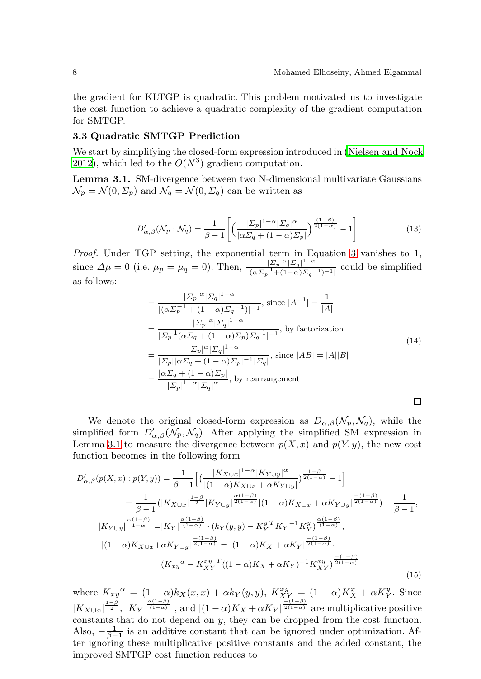the gradient for KLTGP is quadratic. This problem motivated us to investigate the cost function to achieve a quadratic complexity of the gradient computation for SMTGP.

### <span id="page-7-0"></span>3.3 Quadratic SMTGP Prediction

We start by simplifying the closed-form expression introduced in [\(Nielsen and Nock](#page-24-16) [2012\)](#page-24-16), which led to the  $O(N^3)$  gradient computation.

<span id="page-7-1"></span>Lemma 3.1. SM-divergence between two N-dimensional multivariate Gaussians  $\mathcal{N}_p = \mathcal{N}(0, \Sigma_p)$  and  $\mathcal{N}_q = \mathcal{N}(0, \Sigma_q)$  can be written as

$$
D'_{\alpha,\beta}(\mathcal{N}_p : \mathcal{N}_q) = \frac{1}{\beta - 1} \left[ \left( \frac{|\Sigma_p|^{1-\alpha} |\Sigma_q|^\alpha}{|\alpha \Sigma_q + (1-\alpha) \Sigma_p|} \right)^{\frac{(1-\beta)}{2(1-\alpha)}} - 1 \right]
$$
(13)

<span id="page-7-3"></span>Proof. Under TGP setting, the exponential term in Equation [3](#page-4-3) vanishes to 1, since  $\Delta \mu = 0$  (i.e.  $\mu_p = \mu_q = 0$ ). Then,  $\frac{|E_p|^{\alpha} |E_q|^{1-\alpha}}{|E_q|^{\alpha} |E_q|^{1-\alpha}}$  $\frac{|Z_p|}{|(\alpha \Sigma_p^{-1} + (1-\alpha) \Sigma_q^{-1})^{-1}|}$  could be simplified as follows:

$$
= \frac{|\Sigma_p|^{\alpha} |\Sigma_q|^{1-\alpha}}{|(\alpha \Sigma_p^{-1} + (1-\alpha) \Sigma_q^{-1})|^{-1}}, \text{ since } |A^{-1}| = \frac{1}{|A|}
$$
  
\n
$$
= \frac{|\Sigma_p|^{\alpha} |\Sigma_q|^{1-\alpha}}{|\Sigma_p^{-1} (\alpha \Sigma_q + (1-\alpha) \Sigma_p) \Sigma_q^{-1}|^{-1}}, \text{ by factorization}
$$
  
\n
$$
= \frac{|\Sigma_p|^{\alpha} |\Sigma_q|^{1-\alpha}}{|\Sigma_p| |\alpha \Sigma_q + (1-\alpha) \Sigma_p|^{-1} |\Sigma_q|}, \text{ since } |AB| = |A||B|
$$
  
\n
$$
= \frac{|\alpha \Sigma_q + (1-\alpha) \Sigma_p|}{|\Sigma_p|^{1-\alpha} |\Sigma_q|^{\alpha}}, \text{ by rearrangement}
$$

We denote the original closed-form expression as  $D_{\alpha,\beta}(\mathcal{N}_p, \mathcal{N}_q)$ , while the simplified form  $D'_{\alpha,\beta}(\mathcal{N}_p,\mathcal{N}_q)$ . After applying the simplified SM expression in Lemma [3.1](#page-7-1) to measure the divergence between  $p(X, x)$  and  $p(Y, y)$ , the new cost function becomes in the following form

<span id="page-7-2"></span>
$$
D'_{\alpha,\beta}(p(X,x):p(Y,y)) = \frac{1}{\beta - 1} \Big[ \Big( \frac{|K_{X \cup x}|^{1 - \alpha} |K_{Y \cup y}|^{\alpha}}{|(1 - \alpha)K_{X \cup x} + \alpha K_{Y \cup y}|} \Big)^{\frac{1 - \beta}{2(1 - \alpha)}} - 1 \Big]
$$
  
\n
$$
= \frac{1}{\beta - 1} \Big( |K_{X \cup x}|^{\frac{1 - \beta}{2}} |K_{Y \cup y}|^{\frac{\alpha(1 - \beta)}{2(1 - \alpha)}} |(1 - \alpha)K_{X \cup x} + \alpha K_{Y \cup y}|^{\frac{-(1 - \beta)}{2(1 - \alpha)}}) - \frac{1}{\beta - 1},
$$
  
\n
$$
|K_{Y \cup y}|^{\frac{\alpha(1 - \beta)}{1 - \alpha}} = |K_{Y}|^{\frac{\alpha(1 - \beta)}{(1 - \alpha)}} \cdot (k_{Y}(y, y) - K_{Y}^{y} K_{Y}^{-1} K_{Y}^{y})^{\frac{\alpha(1 - \beta)}{(1 - \alpha)}},
$$
  
\n
$$
|(1 - \alpha)K_{X \cup x} + \alpha K_{Y \cup y}|^{\frac{-(1 - \beta)}{2(1 - \alpha)}} = |(1 - \alpha)K_{X} + \alpha K_{Y}|^{\frac{-(1 - \beta)}{2(1 - \alpha)}}.
$$
  
\n
$$
(K_{xy}{}^{\alpha} - K_{XY}^{xy}{}^T ((1 - \alpha)K_{X} + \alpha K_{Y})^{-1} K_{XY}^{xy})^{\frac{-(1 - \beta)}{2(1 - \alpha)}}
$$
\n(15)

where  $K_{xy}^{\alpha} = (1-\alpha)k_X(x,x) + \alpha k_Y(y,y)$ ,  $K_{XY}^{xy} = (1-\alpha)K_X^x + \alpha K_Y^y$ . Since  $|K_{X\cup x}|^{\frac{1-\beta}{2}}, |K_Y|^{\frac{\alpha(1-\beta)}{(1-\alpha)}}$ , and  $|(1-\alpha)K_X+\alpha K_Y|^{\frac{-(1-\beta)}{2(1-\alpha)}}$  are multiplicative positive constants that do not depend on y, they can be dropped from the cost function. Also,  $-\frac{1}{\beta-1}$  is an additive constant that can be ignored under optimization. After ignoring these multiplicative positive constants and the added constant, the improved SMTGP cost function reduces to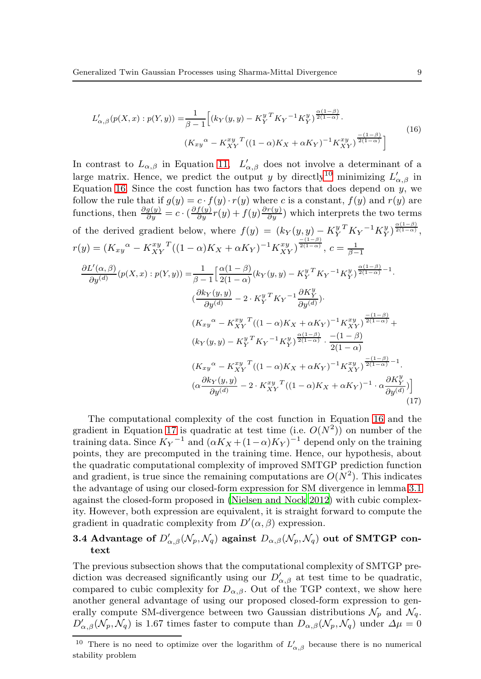<span id="page-8-2"></span>
$$
L'_{\alpha,\beta}(p(X,x):p(Y,y)) = \frac{1}{\beta - 1} \Big[ (k_Y(y,y) - K_Y^{y} {}^T K_Y^{-1} K_Y^{y})^{\frac{\alpha(1-\beta)}{2(1-\alpha)}} \cdot \frac{(1-\beta)}{(1-\alpha)(K_X(y) - K_{XY}^{xy})^T (1-\alpha)(K_X(y) - K_{XY}^{xy})^T (1-\alpha)} \Big]
$$
(16)

In contrast to  $L_{\alpha,\beta}$  in Equation [11,](#page-6-2)  $L'_{\alpha,\beta}$  does not involve a determinant of a large matrix. Hence, we predict the output y by directly<sup>[10](#page-8-1)</sup> minimizing  $L'_{\alpha,\beta}$  in Equation [16.](#page-8-2) Since the cost function has two factors that does depend on  $\hat{y}$ , we follow the rule that if  $g(y) = c \cdot f(y) \cdot r(y)$  where c is a constant,  $f(y)$  and  $r(y)$  are functions, then  $\frac{\partial g(y)}{\partial y} = c \cdot (\frac{\partial f(y)}{\partial y}r(y) + f(y) \frac{\partial r(y)}{\partial y})$  which interprets the two terms of the derived gradient below, where  $f(y) = (k_Y(y, y) - K_Y^{y} K_Y^{-1} K_Y^{y})^{\frac{\alpha(1-\beta)}{2(1-\alpha)}}$ ,  $r(y) = (K_{xy}^{\alpha} - K_{XY}^{xy}{}^{T}((1-\alpha)K_X + \alpha K_Y)^{-1}K_{XY}^{xy})^{\frac{-(1-\beta)}{2(1-\alpha)}}, c = \frac{1}{\beta-1}$  $\partial L'(\alpha,\beta)$  $\frac{L'(\alpha,\beta)}{\partial y^{(d)}}(p(X,x):p(Y,y))=\frac{1}{\beta-1}$  $\int \alpha(1-\beta)$  $\frac{\alpha(1-\beta)}{2(1-\alpha)}(k_Y(y,y)-K_Y^{y\;T}K_Y{}^{-1}K_Y^{y\;}\frac{\alpha(1-\beta)}{2(1-\alpha)}-1.$  $\frac{\partial k_Y(y,y)}{\partial (y)}$  $\frac{\partial^2 Y(y,y)}{\partial y^{(d)}} - 2 \cdot K_Y^{y \, T} K_Y^{-1} \frac{\partial K_Y^y}{\partial y^{(d)}}).$  $(K_{xy}^{\alpha} - K_{XY}^{xy}{}^{T}((1-\alpha)K_X + \alpha K_Y)^{-1}K_{XY}^{xy})^{\frac{-(1-\beta)}{2(1-\alpha)}} +$  $(k_Y(y, y) - K_Y^y K_Y^{-1} K_Y^y)^{\frac{\alpha(1-\beta)}{2(1-\alpha)}} \cdot \frac{-(1-\beta)}{2(1-\alpha)}$  $2(1-\alpha)$  $(K_{xy}^{\alpha} - K_{XY}^{xy}{}^{T}((1-\alpha)K_X + \alpha K_Y)^{-1}K_{XY}^{xy})^{\frac{-(1-\beta)}{2(1-\alpha)}-1}.$  $\left(\alpha \frac{\partial k_Y(y,y)}{\partial (y)}\right)$  $\frac{\partial^2 Y(y,y)}{\partial y^{(d)}} - 2 \cdot K_{XY}^{xy} \left[ (1-\alpha)K_X + \alpha K_Y \right]^{-1} \cdot \alpha \frac{\partial K_Y^y}{\partial y^{(d)}} \Big]$ (17)

<span id="page-8-3"></span>The computational complexity of the cost function in Equation [16](#page-8-2) and the gradient in Equation [17](#page-8-3) is quadratic at test time (i.e.  $O(N^2)$ ) on number of the training data. Since  $K_Y$ <sup>-1</sup> and  $(\alpha K_X + (1 - \alpha) K_Y)^{-1}$  depend only on the training points, they are precomputed in the training time. Hence, our hypothesis, about the quadratic computational complexity of improved SMTGP prediction function and gradient, is true since the remaining computations are  $O(N^2)$ . This indicates the advantage of using our closed-form expression for SM divergence in lemma [3.1](#page-7-1) against the closed-form proposed in [\(Nielsen and Nock 2012\)](#page-24-16) with cubic complexity. However, both expression are equivalent, it is straight forward to compute the gradient in quadratic complexity from  $D'(\alpha, \beta)$  expression.

# <span id="page-8-0"></span>3.4 Advantage of  $D'_{\alpha,\beta}(\mathcal{N}_p,\mathcal{N}_q)$  against  $D_{\alpha,\beta}(\mathcal{N}_p,\mathcal{N}_q)$  out of SMTGP context

The previous subsection shows that the computational complexity of SMTGP prediction was decreased significantly using our  $D'_{\alpha,\beta}$  at test time to be quadratic, compared to cubic complexity for  $D_{\alpha,\beta}$ . Out of the TGP context, we show here another general advantage of using our proposed closed-form expression to generally compute SM-divergence between two Gaussian distributions  $\mathcal{N}_p$  and  $\mathcal{N}_q$ .  $D'_{\alpha,\beta}(\mathcal{N}_p,\mathcal{N}_q)$  is 1.67 times faster to compute than  $D_{\alpha,\beta}(\mathcal{N}_p,\mathcal{N}_q)$  under  $\Delta\mu=0$ 

<span id="page-8-1"></span><sup>&</sup>lt;sup>10</sup> There is no need to optimize over the logarithm of  $L'_{\alpha,\beta}$  because there is no numerical stability problem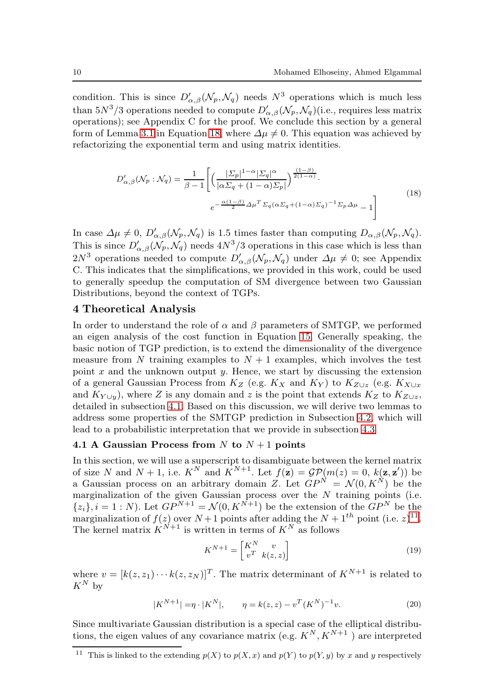condition. This is since  $D'_{\alpha,\beta}(\mathcal{N}_p,\mathcal{N}_q)$  needs  $N^3$  operations which is much less than  $5N^3/3$  operations needed to compute  $D'_{\alpha,\beta}(\mathcal{N}_p,\mathcal{N}_q)$  (i.e., requires less matrix operations); see Appendix C for the proof. We conclude this section by a general form of Lemma [3.1](#page-7-1) in Equation [18,](#page-9-1) where  $\Delta \mu \neq 0$ . This equation was achieved by refactorizing the exponential term and using matrix identities.

$$
D'_{\alpha,\beta}(\mathcal{N}_p : \mathcal{N}_q) = \frac{1}{\beta - 1} \left[ \left( \frac{|\Sigma_p|^{1 - \alpha} |\Sigma_q|^{\alpha}}{|\alpha \Sigma_q + (1 - \alpha) \Sigma_p|} \right)^{\frac{(1 - \beta)}{2(1 - \alpha)}} \right]
$$
  

$$
e^{-\frac{\alpha (1 - \beta)}{2} \Delta \mu^T \Sigma_q (\alpha \Sigma_q + (1 - \alpha) \Sigma_q)^{-1} \Sigma_p \Delta \mu} - 1 \right]
$$
(18)

<span id="page-9-1"></span>In case  $\Delta \mu \neq 0$ ,  $D'_{\alpha,\beta}(\mathcal{N}_p,\mathcal{N}_q)$  is 1.5 times faster than computing  $D_{\alpha,\beta}(\mathcal{N}_p,\mathcal{N}_q)$ . This is since  $D'_{\alpha,\beta}(\mathcal{N}_p,\mathcal{N}_q)$  needs  $4N^3/3$  operations in this case which is less than  $2N^3$  operations needed to compute  $D'_{\alpha,\beta}(\mathcal{N}_p,\mathcal{N}_q)$  under  $\Delta\mu \neq 0$ ; see Appendix C. This indicates that the simplifications, we provided in this work, could be used to generally speedup the computation of SM divergence between two Gaussian Distributions, beyond the context of TGPs.

### <span id="page-9-0"></span>4 Theoretical Analysis

In order to understand the role of  $\alpha$  and  $\beta$  parameters of SMTGP, we performed an eigen analysis of the cost function in Equation [15.](#page-7-2) Generally speaking, the basic notion of TGP prediction, is to extend the dimensionality of the divergence measure from N training examples to  $N + 1$  examples, which involves the test point  $x$  and the unknown output  $y$ . Hence, we start by discussing the extension of a general Gaussian Process from  $K_Z$  (e.g.  $K_X$  and  $K_Y$ ) to  $K_{Z\cup z}$  (e.g.  $K_{X\cup x}$ and  $K_{Y\cup y}$ , where Z is any domain and z is the point that extends  $K_Z$  to  $K_{Z\cup z}$ , detailed in subsection [4.1.](#page-9-2) Based on this discussion, we will derive two lemmas to address some properties of the SMTGP prediction in Subsection [4.2,](#page-10-0) which will lead to a probabilistic interpretation that we provide in subsection [4.3.](#page-12-0)

### <span id="page-9-2"></span>4.1 A Gaussian Process from  $N$  to  $N+1$  points

In this section, we will use a superscript to disambiguate between the kernel matrix of size N and  $N+1$ , i.e.  $K^N$  and  $K^{N+1}$ . Let  $f(\mathbf{z}) = \mathcal{GP}(m(z) = 0, k(\mathbf{z}, \mathbf{z}'))$  be a Gaussian process on an arbitrary domain Z. Let  $GP^N = \mathcal{N}(0, K^N)$  be the marginalization of the given Gaussian process over the  $N$  training points (i.e.  ${z_i}$ ,  $i = 1 : N$ ). Let  $GP^{N+1} = \mathcal{N}(0, K^{N+1})$  be the extension of the  $GP^N$  be the marginalization of  $f(z)$  over  $N+1$  points after adding the  $N+1<sup>th</sup>$  point (i.e.  $z$ )<sup>[11](#page-9-3)</sup>. The kernel matrix  $K^{N+1}$  is written in terms of  $K^N$  as follows

$$
K^{N+1} = \begin{bmatrix} K^N & v \\ v^T & k(z, z) \end{bmatrix}
$$
 (19)

where  $v = [k(z, z_1) \cdots k(z, z_N)]^T$ . The matrix determinant of  $K^{N+1}$  is related to  $K^N$  by

$$
|K^{N+1}| = \eta \cdot |K^N|, \qquad \eta = k(z, z) - v^T (K^N)^{-1} v. \tag{20}
$$

<span id="page-9-3"></span>Since multivariate Gaussian distribution is a special case of the elliptical distributions, the eigen values of any covariance matrix (e.g.  $K^N, K^{N+1}$ ) are interpreted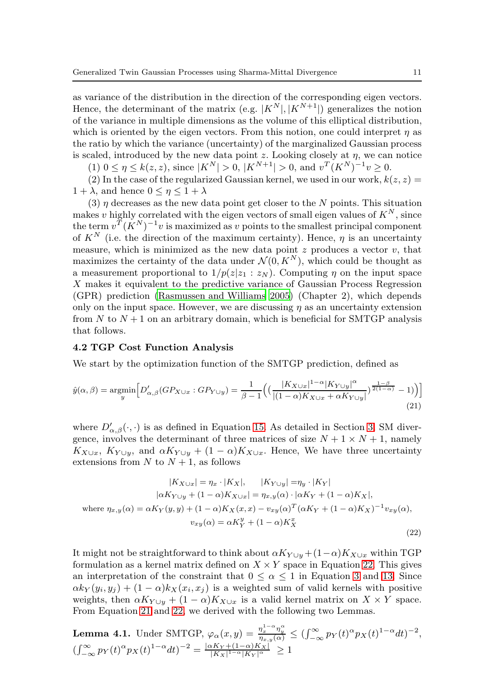as variance of the distribution in the direction of the corresponding eigen vectors. Hence, the determinant of the matrix (e.g.  $|K^N|, |K^{N+1}|$ ) generalizes the notion of the variance in multiple dimensions as the volume of this elliptical distribution, which is oriented by the eigen vectors. From this notion, one could interpret  $\eta$  as the ratio by which the variance (uncertainty) of the marginalized Gaussian process is scaled, introduced by the new data point z. Looking closely at  $\eta$ , we can notice

 $(1)$   $0 \le \eta \le k(z, z)$ , since  $|K^N| > 0$ ,  $|K^{N+1}| > 0$ , and  $v^T(K^N)^{-1}v \ge 0$ .

(2) In the case of the regularized Gaussian kernel, we used in our work,  $k(z, z) =$  $1 + \lambda$ , and hence  $0 \leq \eta \leq 1 + \lambda$ 

(3)  $\eta$  decreases as the new data point get closer to the N points. This situation makes v highly correlated with the eigen vectors of small eigen values of  $K^N$ , since the term  $v^T (K^N)^{-1} v$  is maximized as v points to the smallest principal component of  $K^N$  (i.e. the direction of the maximum certainty). Hence,  $\eta$  is an uncertainty measure, which is minimized as the new data point  $z$  produces a vector  $v$ , that maximizes the certainty of the data under  $\mathcal{N}(0, K^N)$ , which could be thought as a measurement proportional to  $1/p(z|z_1 : z_N)$ . Computing  $\eta$  on the input space X makes it equivalent to the predictive variance of Gaussian Process Regression (GPR) prediction [\(Rasmussen and Williams 2005\)](#page-24-19) (Chapter 2), which depends only on the input space. However, we are discussing  $\eta$  as an uncertainty extension from  $N$  to  $N+1$  on an arbitrary domain, which is beneficial for SMTGP analysis that follows.

### <span id="page-10-0"></span>4.2 TGP Cost Function Analysis

We start by the optimization function of the SMTGP prediction, defined as

<span id="page-10-2"></span>
$$
\hat{y}(\alpha,\beta) = \underset{y}{\operatorname{argmin}} \Big[ D'_{\alpha,\beta} (GP_{X \cup x} : GP_{Y \cup y}) = \frac{1}{\beta - 1} \Big( \big( \frac{|K_{X \cup x}|^{1 - \alpha} |K_{Y \cup y}|^{\alpha}}{|(1 - \alpha)K_{X \cup x} + \alpha K_{Y \cup y}|} \big)^{\frac{1 - \beta}{2(1 - \alpha)}} - 1) \Big) \Big]
$$
\n(21)

where  $D'_{\alpha,\beta}(\cdot,\cdot)$  is as defined in Equation [15.](#page-7-2) As detailed in Section [3,](#page-4-0) SM divergence, involves the determinant of three matrices of size  $N + 1 \times N + 1$ , namely  $K_{X\cup x}$ ,  $K_{Y\cup y}$ , and  $\alpha K_{Y\cup y} + (1-\alpha)K_{X\cup x}$ . Hence, We have three uncertainty extensions from  $N$  to  $N + 1$ , as follows

<span id="page-10-1"></span>
$$
|K_{X\cup x}| = \eta_x \cdot |K_X|, \qquad |K_{Y\cup y}| = \eta_y \cdot |K_Y|
$$

$$
|\alpha K_{Y\cup y} + (1 - \alpha)K_{X\cup x}| = \eta_{x,y}(\alpha) \cdot |\alpha K_Y + (1 - \alpha)K_X|,
$$

$$
\text{where } \eta_{x,y}(\alpha) = \alpha K_Y(y, y) + (1 - \alpha)K_X(x, x) - v_{xy}(\alpha)^T (\alpha K_Y + (1 - \alpha)K_X)^{-1} v_{xy}(\alpha),
$$

$$
v_{xy}(\alpha) = \alpha K_Y^y + (1 - \alpha)K_X^x
$$
(22)

It might not be straightforward to think about  $\alpha K_{Y\cup y}+(1-\alpha)K_{X\cup x}$  within TGP formulation as a kernel matrix defined on  $X \times Y$  space in Equation [22.](#page-10-1) This gives an interpretation of the constraint that  $0 \leq \alpha \leq 1$  in Equation [3](#page-4-3) and [13.](#page-7-3) Since  $\alpha k_Y(y_i, y_j) + (1 - \alpha)k_X(x_i, x_j)$  is a weighted sum of valid kernels with positive weights, then  $\alpha K_{Y \cup y} + (1 - \alpha) K_{X \cup x}$  is a valid kernel matrix on  $X \times Y$  space. From Equation [21](#page-10-2) and [22,](#page-10-1) we derived with the following two Lemmas.

<span id="page-10-3"></span>**Lemma 4.1.** Under SMTGP,  $\varphi_{\alpha}(x, y) = \frac{\eta_x^{1-\alpha} \eta_y^{\alpha}}{\eta_{x,y}(\alpha)} \leq (\int_{-\infty}^{\infty} p_Y(t)^{\alpha} p_X(t)^{1-\alpha} dt)^{-2}$ ,  $\left(\int_{-\infty}^{\infty} p_Y(t)^{\alpha} p_X(t)^{1-\alpha} dt\right)^{-2} = \frac{|\alpha K_Y + (1-\alpha)K_X|}{|K_X|^{1-\alpha}|K_Y|^{\alpha}} \ge 1$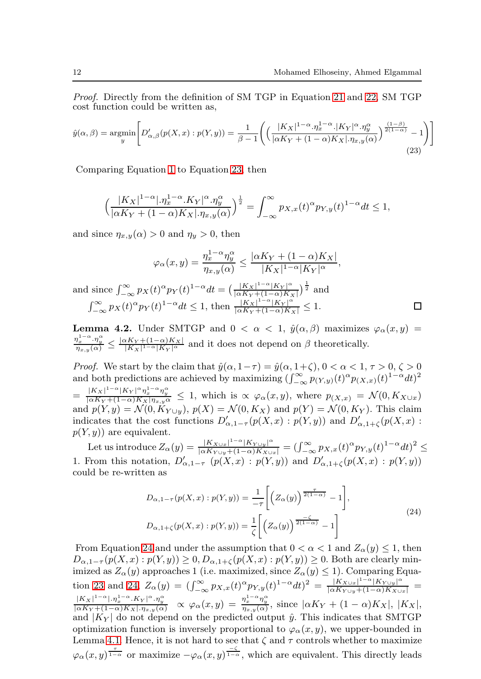$\Box$ 

Proof. Directly from the definition of SM TGP in Equation [21](#page-10-2) and [22,](#page-10-1) SM TGP cost function could be written as,

<span id="page-11-0"></span>
$$
\hat{y}(\alpha,\beta) = \underset{y}{\operatorname{argmin}} \left[ D'_{\alpha,\beta}(p(X,x):p(Y,y)) = \frac{1}{\beta - 1} \left( \left( \frac{|K_X|^{1 - \alpha} \cdot \eta_x^{1 - \alpha} \cdot |K_Y|^{\alpha} \cdot \eta_y^{\alpha}}{|\alpha K_Y + (1 - \alpha)K_X| \cdot \eta_{x,y}(\alpha)} \right)^{\frac{(1 - \beta)}{2(1 - \alpha)} - 1} \right) \right]
$$
\n(23)

Comparing Equation [1](#page-3-2) to Equation [23,](#page-11-0) then

$$
\left(\frac{|K_X|^{1-\alpha}|.\eta_x^{1-\alpha} \cdot K_Y|^{\alpha} \cdot \eta_y^{\alpha}}{|\alpha K_Y + (1-\alpha)K_X| \cdot \eta_{x,y}(\alpha)}\right)^{\frac{1}{2}} = \int_{-\infty}^{\infty} p_{X,x}(t)^{\alpha} p_{Y,y}(t)^{1-\alpha} dt \le 1,
$$

and since  $\eta_{x,y}(\alpha) > 0$  and  $\eta_y > 0$ , then

$$
\varphi_{\alpha}(x,y) = \frac{\eta_x^{1-\alpha} \eta_y^{\alpha}}{\eta_{x,y}(\alpha)} \le \frac{|\alpha K_Y + (1-\alpha)K_X|}{|K_X|^{1-\alpha}|K_Y|^{\alpha}},
$$
  

$$
\varphi_{\alpha}(x,y) = \frac{|\alpha K_Y|^{1-\alpha}|K_Y|^{\alpha}}{|K_Y|^{1-\alpha}|K_Y|^{\alpha}}.
$$

and since  $\int_{-\infty}^{\infty} p_X(t)^{\alpha} p_Y(t)^{1-\alpha} dt = \left( \frac{|K_X|^{1-\alpha}|K_Y|^{\alpha}}{|\alpha K_Y + (1-\alpha)K_Y|} \right)$  $\frac{|K_X|^{1-\alpha}|K_Y|^{\alpha}}{|\alpha K_Y+(1-\alpha)K_X|}\big)^{\frac{1}{2}}$  and  $\int_{-\infty}^{\infty} p_X(t)^{\alpha} p_Y(t)^{1-\alpha} dt \leq 1$ , then  $\frac{|K_X|^{1-\alpha} |K_Y|^{\alpha}}{|\alpha K_Y + (1-\alpha)K_X|} \leq 1$ .

<span id="page-11-2"></span>**Lemma 4.2.** Under SMTGP and  $0 < \alpha < 1$ ,  $\hat{y}(\alpha, \beta)$  maximizes  $\varphi_{\alpha}(x, y)$  =  $\frac{\eta_x^{1-\alpha} \cdot \eta_y^{\alpha}}{\eta_{x,y}(\alpha)} \le \frac{|\alpha K_Y + (1-\alpha)K_X|}{|K_X|^{1-\alpha}|K_Y|^{\alpha}}$  and it does not depend on  $\beta$  theoretically.

*Proof.* We start by the claim that  $\hat{y}(\alpha, 1-\tau) = \hat{y}(\alpha, 1+\zeta), 0 < \alpha < 1, \tau > 0, \zeta > 0$ and both predictions are achieved by maximizing  $(\int_{-\infty}^{\infty} p_{(Y,y)}(t)^{\alpha} p_{(X,x)}(t)^{1-\alpha} dt)^2$  $=\frac{|K_X|^{1-\alpha}|K_Y|^{\alpha}\eta_x^{1-\alpha}\eta_y^{\alpha}}{|\alpha K_Y+(1-\alpha)K_X|\eta_{x,y}\alpha} \leq 1$ , which is  $\propto \varphi_\alpha(x,y)$ , where  $p_{(X,x)} = \mathcal{N}(0,K_{X\cup x})$ and  $p(Y, y) = \mathcal{N}(0, K_{Y \cup y}), p(X) = \mathcal{N}(0, K_X)$  and  $p(Y) = \mathcal{N}(0, K_Y)$ . This claim indicates that the cost functions  $D'_{\alpha,1-\tau}(p(X,x):p(Y,y))$  and  $D'_{\alpha,1+\zeta}(p(X,x):p(Y,y))$  $p(Y, y)$  are equivalent.

Let us introduce  $Z_{\alpha}(y) = \frac{|K_{X\cup x}|^{1-\alpha}|K_{Y\cup y}|^{\alpha}}{|\alpha K_{Y\cup y}+(1-\alpha)K_{X\cup x}|} = (\int_{-\infty}^{\infty} p_{X,x}(t)^{\alpha} p_{Y,y}(t)^{1-\alpha} dt)^2 \le$ 1. From this notation,  $D'_{\alpha,1-\tau}$   $(p(X,x) : p(Y,y))$  and  $D'_{\alpha,1+\zeta}(p(X,x) : p(Y,y))$ could be re-written as

<span id="page-11-1"></span>
$$
D_{\alpha,1-\tau}(p(X,x):p(Y,y)) = \frac{1}{-\tau} \left[ \left( Z_{\alpha}(y) \right)^{\frac{\tau}{2(1-\alpha)}} - 1 \right],
$$
  
\n
$$
D_{\alpha,1+\zeta}(p(X,x):p(Y,y)) = \frac{1}{\zeta} \left[ \left( Z_{\alpha}(y) \right)^{\frac{\zeta}{2(1-\alpha)}} - 1 \right]
$$
\n(24)

From Equation [24](#page-11-1) and under the assumption that  $0 < \alpha < 1$  and  $Z_{\alpha}(y) \leq 1$ , then  $D_{\alpha,1-\tau}(p(X,x):p(Y,y))\geq 0, D_{\alpha,1+\zeta}(p(X,x):p(Y,y))\geq 0.$  Both are clearly minimized as  $Z_{\alpha}(y)$  approaches 1 (i.e. maximized, since  $Z_{\alpha}(y) \leq 1$ ). Comparing Equa-tion [23](#page-11-0) and [24,](#page-11-1)  $Z_{\alpha}(y) = (\int_{-\infty}^{\infty} p_{X,x}(t)^{\alpha} p_{Y,y}(t)^{1-\alpha} dt)^2 = \frac{|K_{X\cup x}|^{1-\alpha}|K_{Y\cup y}|^{\alpha}}{|\alpha K_{Y\cup y}+(1-\alpha)K_{X\cup x}|} =$  $\frac{|K_X|^{1-\alpha} \cdot |R_X|^{1-\alpha} \cdot K_Y|^{\alpha} \cdot R_Y^{\alpha}}{\vert \alpha K_Y + (1-\alpha)K_X \vert \cdot R_X \cdot R_X^{\alpha}} \propto \varphi_\alpha(x,y) = \frac{\eta_x^{1-\alpha} \eta_y^{\alpha}}{\eta_{x,y}(\alpha)},$  since  $\vert \alpha K_Y + (1-\alpha)K_X \vert, \, \vert K_X \vert,$ and  $|K_Y|$  do not depend on the predicted output  $\hat{y}$ . This indicates that SMTGP optimization function is inversely proportional to  $\varphi_{\alpha}(x, y)$ , we upper-bounded in Lemma [4.1.](#page-10-3) Hence, it is not hard to see that  $\zeta$  and  $\tau$  controls whether to maximize  $\varphi_\alpha(x,y) = \frac{\tau}{1-\alpha}$  or maximize  $-\varphi_\alpha(x,y) = \frac{-\zeta}{1-\alpha}$ , which are equivalent. This directly leads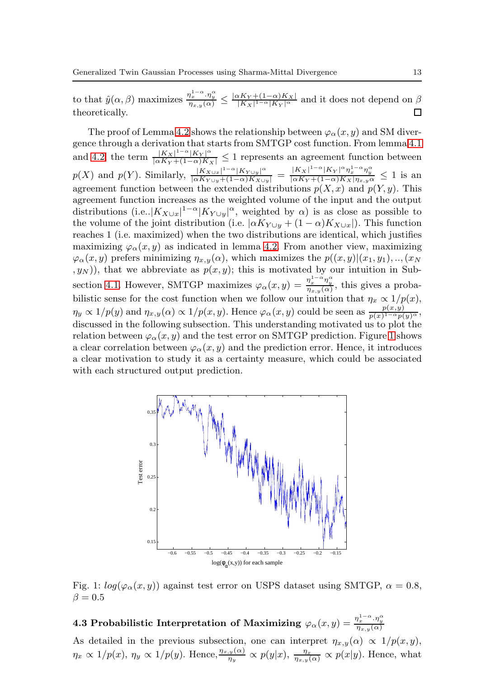to that  $\hat{y}(\alpha, \beta)$  maximizes  $\frac{\eta_x^{1-\alpha} \cdot \eta_y^{\alpha}}{\eta_{x,y}(\alpha)} \leq \frac{|\alpha K_Y + (1-\alpha)K_X|}{|K_X|^{1-\alpha}|K_Y|^{\alpha}}$  and it does not depend on  $\beta$ theoretically.

The proof of Lemma [4.2](#page-11-2) shows the relationship between  $\varphi_{\alpha}(x, y)$  and SM divergence through a derivation that starts from SMTGP cost function. From lemma [4.1](#page-10-3) and [4.2,](#page-11-2) the term  $\frac{|K_X|^{1-\alpha}|K_Y|^{\alpha}}{|\alpha K_Y + (1-\alpha)K_X|} \leq 1$  represents an agreement function between  $p(X)$  and  $p(Y)$ . Similarly,  $\frac{|K_{X\cup x}|^{1-\alpha}|K_{Y\cup y}|^{\alpha}}{|\alpha K_{Y\cup y}+(1-\alpha)K_{X\cup y}|} = \frac{|K_X|^{1-\alpha}|K_Y|^{\alpha} \eta_x^{1-\alpha} \eta_y^{\alpha}}{|\alpha K_{Y}+(1-\alpha)K_{X}| \eta_{x,y} \alpha} \leq 1$  is an agreement function between the extended distributions  $p(X, x)$  and  $p(Y, y)$ . This agreement function increases as the weighted volume of the input and the output distributions (i.e.. $|K_{X\cup x}|^{1-\alpha}|K_{Y\cup y}|^{\alpha}$ , weighted by  $\alpha$ ) is as close as possible to the volume of the joint distribution (i.e.  $\left[\alpha K_{Y\cup y} + (1-\alpha)K_{X\cup x}\right]$ ). This function reaches 1 (i.e. maximized) when the two distributions are identical, which justifies maximizing  $\varphi_{\alpha}(x, y)$  as indicated in lemma [4.2.](#page-11-2) From another view, maximizing  $\varphi_{\alpha}(x, y)$  prefers minimizing  $\eta_{x, y}(\alpha)$ , which maximizes the  $p((x, y)|(x_1, y_1), \ldots, (x_N))$  $(y_N)$ , that we abbreviate as  $p(x, y)$ ; this is motivated by our intuition in Sub-section [4.1.](#page-9-2) However, SMTGP maximizes  $\varphi_{\alpha}(x, y) = \frac{\eta_x^{1-\alpha} \eta_y^{\alpha}}{\eta_{x,y}(\alpha)}$ , this gives a probabilistic sense for the cost function when we follow our intuition that  $\eta_x \propto 1/p(x)$ ,  $\eta_y \propto 1/p(y)$  and  $\eta_{x,y}(\alpha) \propto 1/p(x,y)$ . Hence  $\varphi_\alpha(x,y)$  could be seen as  $\frac{p(x,y)}{p(x)^{1-\alpha}p(y)^{\alpha}},$ discussed in the following subsection. This understanding motivated us to plot the relation between  $\varphi_{\alpha}(x, y)$  and the test error on SMTGP prediction. Figure [1](#page-12-1) shows a clear correlation between  $\varphi_{\alpha}(x, y)$  and the prediction error. Hence, it introduces a clear motivation to study it as a certainty measure, which could be associated with each structured output prediction.

<span id="page-12-1"></span>

Fig. 1:  $log(\varphi_{\alpha}(x, y))$  against test error on USPS dataset using SMTGP,  $\alpha = 0.8$ ,  $\beta = 0.5$ 

<span id="page-12-0"></span>4.3 Probabilistic Interpretation of Maximizing  $\varphi_\alpha(x,y) = \frac{\eta_x^{1-\alpha} \cdot \eta_y^\alpha}{\eta_{x,y}(\alpha)}$ 

As detailed in the previous subsection, one can interpret  $\eta_{x,y}(\alpha) \propto 1/p(x,y)$ ,  $\eta_x \propto 1/p(x), \eta_y \propto 1/p(y)$ . Hence,  $\frac{\eta_{x,y}(\alpha)}{\eta_y} \propto p(y|x), \frac{\eta_x}{\eta_{x,y}(\alpha)} \propto p(x|y)$ . Hence, what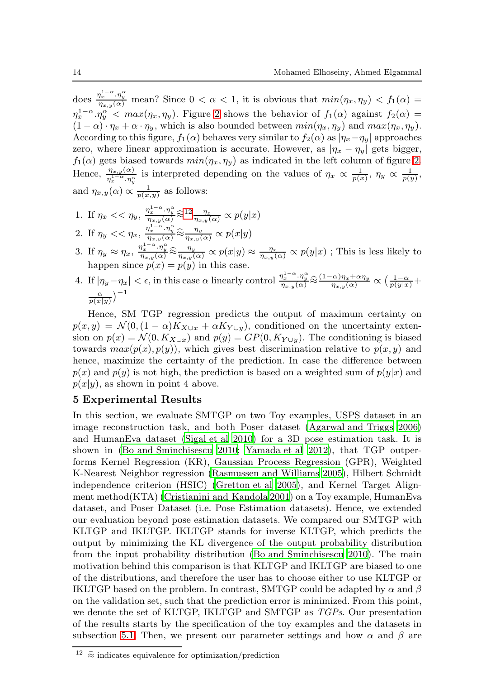does  $\frac{\eta_x^{1-\alpha}\cdot\eta_y^{\alpha}}{\eta_{x,y}(\alpha)}$  mean? Since  $0 < \alpha < 1$ , it is obvious that  $min(\eta_x, \eta_y) < f_1(\alpha)$  $\eta_x^{1-\alpha} \cdot \eta_y^{\alpha}$  <  $max(\eta_x, \eta_y)$ . Figure [2](#page-14-0) shows the behavior of  $f_1(\alpha)$  against  $f_2(\alpha)$  =  $(1 - \alpha) \cdot \eta_x + \alpha \cdot \eta_y$ , which is also bounded between  $min(\eta_x, \eta_y)$  and  $max(\eta_x, \eta_y)$ . According to this figure,  $f_1(\alpha)$  behaves very similar to  $f_2(\alpha)$  as  $|\eta_x - \eta_y|$  approaches zero, where linear approximation is accurate. However, as  $|\eta_x - \eta_y|$  gets bigger,  $f_1(\alpha)$  gets biased towards  $min(\eta_x, \eta_y)$  as indicated in the left column of figure [2.](#page-14-0) Hence,  $\frac{\eta_{x,y}(\alpha)}{\eta_x^{1-\alpha} \cdot \eta_y^{\alpha}}$  is interpreted depending on the values of  $\eta_x \propto \frac{1}{p(x)}$ ,  $\eta_y \propto \frac{1}{p(y)}$ , and  $\eta_{x,y}(\alpha) \propto \frac{1}{p(x,y)}$  as follows:

- 1. If  $\eta_x << \eta_y$ ,  $\frac{\eta_x^{1-\alpha} \cdot \eta_y^{\alpha}}{\eta_{x,y}(\alpha)} \hat{\approx}^{12} \frac{\eta_x}{\eta_{x,y}(\alpha)} \propto p(y|x)$  $\frac{\eta_x^{1-\alpha} \cdot \eta_y^{\alpha}}{\eta_{x,y}(\alpha)} \hat{\approx}^{12} \frac{\eta_x}{\eta_{x,y}(\alpha)} \propto p(y|x)$  $\frac{\eta_x^{1-\alpha} \cdot \eta_y^{\alpha}}{\eta_{x,y}(\alpha)} \hat{\approx}^{12} \frac{\eta_x}{\eta_{x,y}(\alpha)} \propto p(y|x)$
- 2. If  $\eta_y \ll \eta_x$ ,  $\frac{\eta_x^{1-\alpha} \cdot \eta_y^{\alpha}}{\eta_{x,y}(\alpha)} \hat{\approx} \frac{\eta_y}{\eta_{x,y}(\alpha)} \propto p(x|y)$
- 3. If  $\eta_y \approx \eta_x$ ,  $\frac{\eta_x^{1-\alpha} \cdot \eta_y^{\alpha}}{\eta_{x,y}(\alpha)} \hat{\approx} \frac{\eta_y}{\eta_{x,y}(\alpha)} \propto p(x|y) \approx \frac{\eta_x}{\eta_{x,y}(\alpha)} \propto p(y|x)$ ; This is less likely to happen since  $p(x) = p(y)$  in this case.
- 4. If  $|\eta_y \eta_x| < \epsilon$ , in this case  $\alpha$  linearly control  $\frac{\eta_x^{1-\alpha} \cdot \eta_y^{\alpha}}{\eta_{x,y}(\alpha)} \hat{\approx} \frac{(1-\alpha)\eta_x + \alpha \eta_y}{\eta_{x,y}(\alpha)} \propto \left(\frac{1-\alpha}{p(y|x)}\right) +$  $\frac{\alpha}{p(x|y)}$ <sup>-1</sup>

Hence, SM TGP regression predicts the output of maximum certainty on  $p(x,y) = \mathcal{N}(0,(1-\alpha)K_{X\cup x} + \alpha K_{Y\cup y}),$  conditioned on the uncertainty extension on  $p(x) = \mathcal{N}(0, K_{X\cup x})$  and  $p(y) = GP(0, K_{Y\cup y})$ . The conditioning is biased towards  $max(p(x), p(y))$ , which gives best discrimination relative to  $p(x, y)$  and hence, maximize the certainty of the prediction. In case the difference between  $p(x)$  and  $p(y)$  is not high, the prediction is based on a weighted sum of  $p(y|x)$  and  $p(x|y)$ , as shown in point 4 above.

#### <span id="page-13-0"></span>5 Experimental Results

In this section, we evaluate SMTGP on two Toy examples, USPS dataset in an image reconstruction task, and both Poser dataset (Agarwal [and Triggs 2006\)](#page-23-7) and HumanEva dataset [\(Sigal et al 2010\)](#page-24-20) for a 3D pose estimation task. It is shown in [\(Bo and Sminchisescu 2010](#page-23-0); [Yamada et al 2012\)](#page-25-7), that TGP outperforms Kernel Regression (KR), Gaussian Process Regression (GPR), Weighted K-Nearest Neighbor regression [\(Rasmussen and Williams 2005\)](#page-24-19), Hilbert Schmidt independence criterion (HSIC) [\(Gretton et al 2005\)](#page-24-21), and Kernel Target Alignment method(KTA) [\(Cristianini and Kandola 2001\)](#page-24-22) on a Toy example, HumanEva dataset, and Poser Dataset (i.e. Pose Estimation datasets). Hence, we extended our evaluation beyond pose estimation datasets. We compared our SMTGP with KLTGP and IKLTGP. IKLTGP stands for inverse KLTGP, which predicts the output by minimizing the KL divergence of the output probability distribution from the input probability distribution [\(Bo and Sminchisescu 2010](#page-23-0)). The main motivation behind this comparison is that KLTGP and IKLTGP are biased to one of the distributions, and therefore the user has to choose either to use KLTGP or IKLTGP based on the problem. In contrast, SMTGP could be adapted by  $\alpha$  and  $\beta$ on the validation set, such that the prediction error is minimized. From this point, we denote the set of KLTGP, IKLTGP and SMTGP as TGPs. Our presentation of the results starts by the specification of the toy examples and the datasets in subsection [5.1.](#page-14-1) Then, we present our parameter settings and how  $\alpha$  and  $\beta$  are

<span id="page-13-1"></span> $^{12}~$   $\widehat{\approx}$  indicates equivalence for optimization/prediction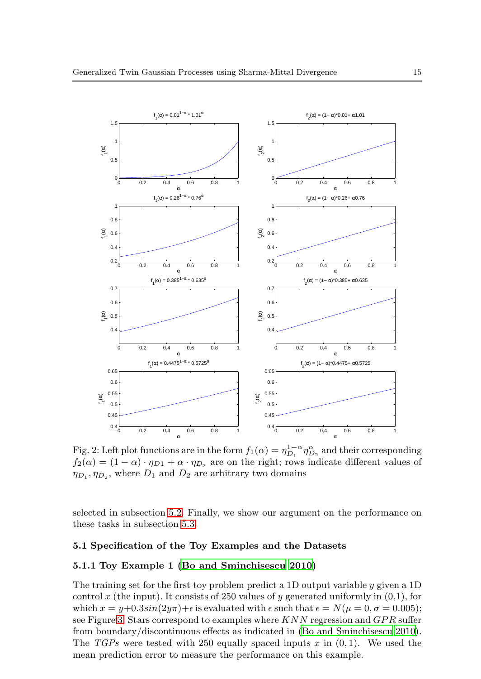<span id="page-14-0"></span>

Fig. 2: Left plot functions are in the form  $f_1(\alpha) = \eta_{D_1}^{1-\alpha} \eta_{D_2}^{\alpha}$  and their corresponding  $f_2(\alpha) = (1 - \alpha) \cdot \eta_{D1} + \alpha \cdot \eta_{D2}$  are on the right; rows indicate different values of  $\eta_{D_1}, \eta_{D_2}$ , where  $D_1$  and  $D_2$  are arbitrary two domains

<span id="page-14-1"></span>selected in subsection [5.2.](#page-16-0) Finally, we show our argument on the performance on these tasks in subsection [5.3.](#page-16-1)

#### 5.1 Specification of the Toy Examples and the Datasets

### 5.1.1 Toy Example 1 [\(Bo and Sminchisescu 2010](#page-23-0))

The training set for the first toy problem predict a 1D output variable y given a 1D control x (the input). It consists of 250 values of y generated uniformly in  $(0,1)$ , for which  $x = y+0.3\sin(2y\pi) + \epsilon$  is evaluated with  $\epsilon$  such that  $\epsilon = N(\mu = 0, \sigma = 0.005)$ ; see Figure [3.](#page-15-0) Stars correspond to examples where  $KNN$  regression and  $GPR$  suffer from boundary/discontinuous effects as indicated in (Bo and [Sminchisescu 2010](#page-23-0)). The TGPs were tested with 250 equally spaced inputs x in  $(0, 1)$ . We used the mean prediction error to measure the performance on this example.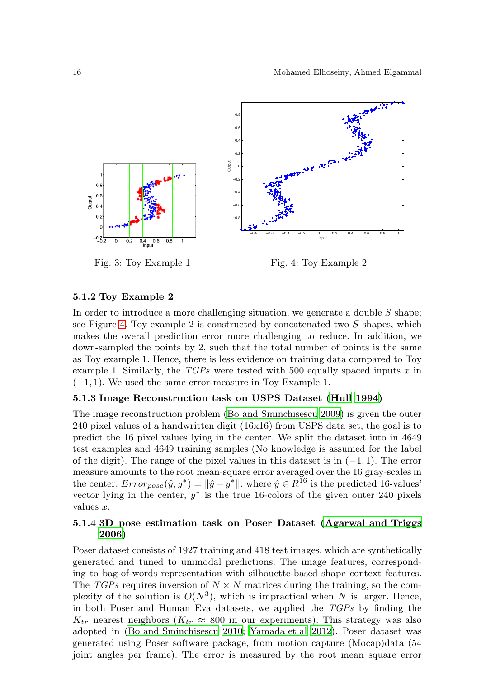<span id="page-15-0"></span>

#### 5.1.2 Toy Example 2

In order to introduce a more challenging situation, we generate a double  $S$  shape; see Figure [4.](#page-15-0) Toy example 2 is constructed by concatenated two  $S$  shapes, which makes the overall prediction error more challenging to reduce. In addition, we down-sampled the points by 2, such that the total number of points is the same as Toy example 1. Hence, there is less evidence on training data compared to Toy example 1. Similarly, the  $TGPs$  were tested with 500 equally spaced inputs x in  $(-1, 1)$ . We used the same error-measure in Toy Example 1.

#### 5.1.3 Image Reconstruction task on USPS Dataset [\(Hull 1994\)](#page-24-23)

The image reconstruction problem [\(Bo and Sminchisescu 2009](#page-23-8)) is given the outer 240 pixel values of a handwritten digit (16x16) from USPS data set, the goal is to predict the 16 pixel values lying in the center. We split the dataset into in 4649 test examples and 4649 training samples (No knowledge is assumed for the label of the digit). The range of the pixel values in this dataset is in  $(-1, 1)$ . The error measure amounts to the root mean-square error averaged over the 16 gray-scales in the center.  $Error_{pose}(\hat{y}, y^*) = ||\hat{y} - y^*||$ , where  $\hat{y} \in R^{16}$  is the predicted 16-values' vector lying in the center,  $y^*$  is the true 16-colors of the given outer 240 pixels values x.

## 5.1.4 3D pose estimation task on Poser Dataset [\(Agarwal and Triggs](#page-23-7) [2006\)](#page-23-7)

Poser dataset consists of 1927 training and 418 test images, which are synthetically generated and tuned to unimodal predictions. The image features, corresponding to bag-of-words representation with silhouette-based shape context features. The TGPs requires inversion of  $N \times N$  matrices during the training, so the complexity of the solution is  $O(N^3)$ , which is impractical when N is larger. Hence, in both Poser and Human Eva datasets, we applied the  $TGP_s$  by finding the  $K_{tr}$  nearest neighbors ( $K_{tr} \approx 800$  in our experiments). This strategy was also adopted in [\(Bo and Sminchisescu 2010](#page-23-0); [Yamada et al 2012](#page-25-7)). Poser dataset was generated using Poser software package, from motion capture (Mocap)data (54 joint angles per frame). The error is measured by the root mean square error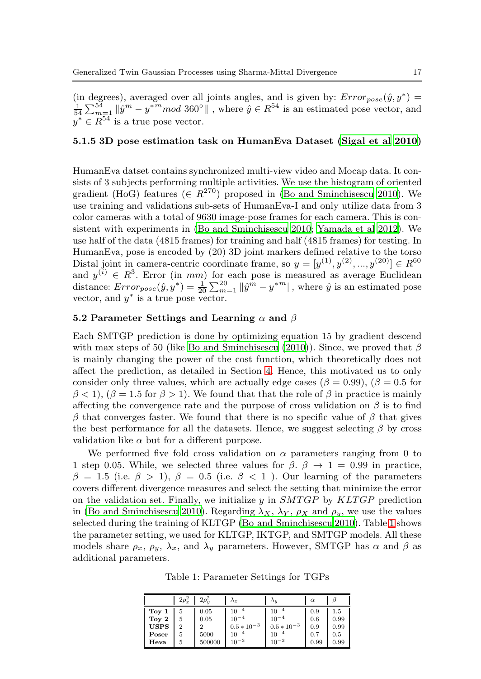(in degrees), averaged over all joints angles, and is given by:  $Error_{pose}(\hat{y}, y^*) = \frac{1}{54} \sum_{m=1}^{54} ||\hat{y}^m - y^{*m}mod 360^{\circ}||$ , where  $\hat{y} \in R^{54}$  is an estimated pose vector, and  $y^* \in R^{54}$  is a true pose vector.

#### 5.1.5 3D pose estimation task on HumanEva Dataset [\(Sigal et al 2010\)](#page-24-20)

HumanEva datset contains synchronized multi-view video and Mocap data. It consists of 3 subjects performing multiple activities. We use the histogram of oriented gradient (HoG) features ( $\in R^{270}$ ) proposed in [\(Bo and Sminchisescu 2010\)](#page-23-0). We use training and validations sub-sets of HumanEva-I and only utilize data from 3 color cameras with a total of 9630 image-pose frames for each camera. This is consistent with experiments in [\(Bo and Sminchisescu 2010](#page-23-0); [Yamada et al 2012](#page-25-7)). We use half of the data (4815 frames) for training and half (4815 frames) for testing. In HumanEva, pose is encoded by (20) 3D joint markers defined relative to the torso Distal joint in camera-centric coordinate frame, so  $y = [y^{(1)}, y^{(2)}, ..., y^{(20)}] \in R^{60}$ and  $y^{(i)} \in R^3$ . Error (in mm) for each pose is measured as average Euclidean distance:  $Error_{pose}(\hat{y}, y^*) = \frac{1}{20} \sum_{m=1}^{20} ||\hat{y}^m - y^{*m}||$ , where  $\hat{y}$  is an estimated pose vector, and  $y^*$  is a true pose vector.

#### <span id="page-16-0"></span>5.2 Parameter Settings and Learning  $\alpha$  and  $\beta$

Each SMTGP prediction is done by optimizing equation 15 by gradient descend with max steps of 50 (like [Bo and Sminchisescu \(2010\)](#page-23-0)). Since, we proved that  $\beta$ is mainly changing the power of the cost function, which theoretically does not affect the prediction, as detailed in Section [4.](#page-9-0) Hence, this motivated us to only consider only three values, which are actually edge cases ( $\beta = 0.99$ ), ( $\beta = 0.5$  for  $\beta$  < 1),  $(\beta = 1.5$  for  $\beta > 1)$ . We found that that the role of  $\beta$  in practice is mainly affecting the convergence rate and the purpose of cross validation on  $\beta$  is to find  $\beta$  that converges faster. We found that there is no specific value of  $\beta$  that gives the best performance for all the datasets. Hence, we suggest selecting  $\beta$  by cross validation like  $\alpha$  but for a different purpose.

We performed five fold cross validation on  $\alpha$  parameters ranging from 0 to 1 step 0.05. While, we selected three values for  $\beta$ .  $\beta \rightarrow 1 = 0.99$  in practice,  $\beta = 1.5$  (i.e.  $\beta > 1$ ),  $\beta = 0.5$  (i.e.  $\beta < 1$ ). Our learning of the parameters covers different divergence measures and select the setting that minimize the error on the validation set. Finally, we initialize  $y$  in  $SMTGP$  by  $KLTGP$  prediction in [\(Bo and Sminchisescu 2010](#page-23-0)). Regarding  $\lambda_X$ ,  $\lambda_Y$ ,  $\rho_X$  and  $\rho_y$ , we use the values selected during the training of KLTGP [\(Bo and Sminchisescu 2010\)](#page-23-0). Table [1](#page-16-2) shows the parameter setting, we used for KLTGP, IKTGP, and SMTGP models. All these models share  $\rho_x$ ,  $\rho_y$ ,  $\lambda_x$ , and  $\lambda_y$  parameters. However, SMTGP has  $\alpha$  and  $\beta$  as additional parameters.

Table 1: Parameter Settings for TGPs

<span id="page-16-2"></span><span id="page-16-1"></span>

| $2\rho_x^2$                                                                          | $2\rho_u^2$                         | $\lambda_x$                                                         | $\Lambda_{\mathcal{U}}$                                             | $\alpha$                         |                                        |
|--------------------------------------------------------------------------------------|-------------------------------------|---------------------------------------------------------------------|---------------------------------------------------------------------|----------------------------------|----------------------------------------|
| Toy 1<br>5<br>Toy 2<br>5<br>$\overline{2}$<br><b>USPS</b><br>5<br>Poser<br>5<br>Heva | 0.05<br>0.05<br>າ<br>5000<br>500000 | $10^{-4}$<br>$10^{-4}$<br>$0.5 * 10^{-3}$<br>$10^{-4}$<br>$10^{-3}$ | $10^{-4}$<br>$10^{-4}$<br>$0.5 * 10^{-3}$<br>$10^{-4}$<br>$10^{-3}$ | 0.9<br>0.6<br>0.9<br>0.7<br>0.99 | $1.5\,$<br>0.99<br>0.99<br>0.5<br>0.99 |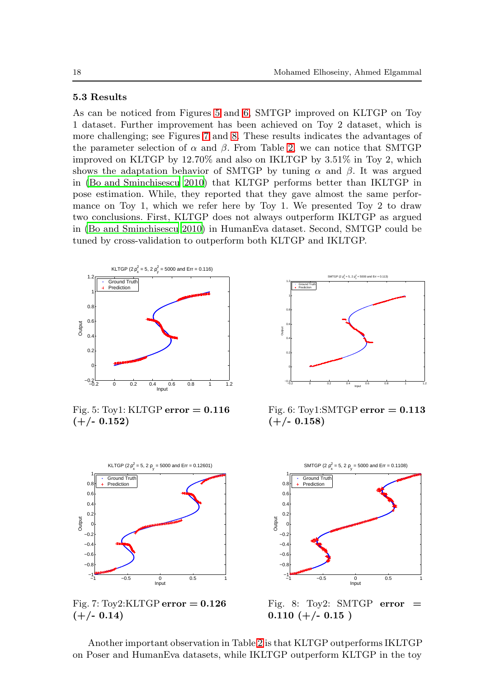# 5.3 Results

As can be noticed from Figures [5](#page-17-0) and [6,](#page-17-0) SMTGP improved on KLTGP on Toy 1 dataset. Further improvement has been achieved on Toy 2 dataset, which is more challenging; see Figures [7](#page-17-1) and [8.](#page-17-1) These results indicates the advantages of the parameter selection of  $\alpha$  and  $\beta$ . From Table [2,](#page-18-1) we can notice that SMTGP improved on KLTGP by 12.70% and also on IKLTGP by 3.51% in Toy 2, which shows the adaptation behavior of SMTGP by tuning  $\alpha$  and  $\beta$ . It was argued in [\(Bo and Sminchisescu 2010\)](#page-23-0) that KLTGP performs better than IKLTGP in pose estimation. While, they reported that they gave almost the same performance on Toy 1, which we refer here by Toy 1. We presented Toy 2 to draw two conclusions. First, KLTGP does not always outperform IKLTGP as argued in [\(Bo and Sminchisescu 2010\)](#page-23-0) in HumanEva dataset. Second, SMTGP could be tuned by cross-validation to outperform both KLTGP and IKLTGP.

<span id="page-17-0"></span>

Fig. 5: Toy1: KLTGP  $error = 0.116$  $(+/- 0.152)$ 



Fig. 6: Toy1:SMTGP error  $= 0.113$  $(+/- 0.158)$ 

<span id="page-17-1"></span>

Fig. 7:  $\text{Toy2:KLTGP error} = 0.126$  $(+/- 0.14)$ 



Fig. 8: Toy2: SMTGP error  $=$  $0.110 (+/- 0.15)$ 

Another important observation in Table [2](#page-18-1) is that KLTGP outperforms IKLTGP on Poser and HumanEva datasets, while IKLTGP outperform KLTGP in the toy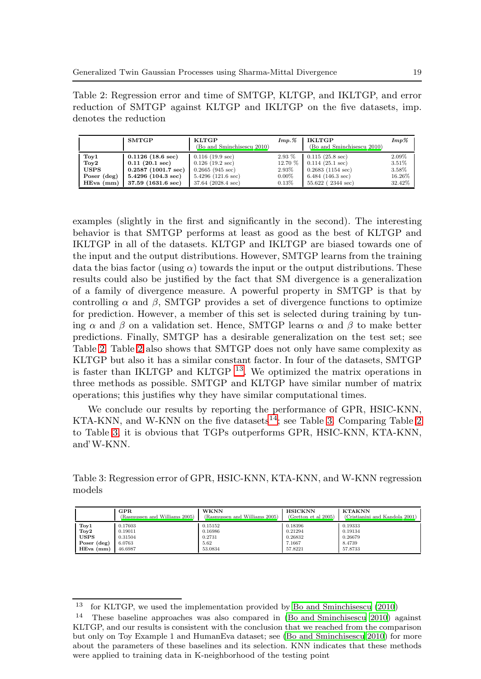<span id="page-18-1"></span>Table 2: Regression error and time of SMTGP, KLTGP, and IKLTGP, and error reduction of SMTGP against KLTGP and IKLTGP on the five datasets, imp. denotes the reduction

|                 | <b>SMTGP</b>             | KLTGP                      | Imp. %   | <b>IKLTGP</b>                | $Imp\%$ |
|-----------------|--------------------------|----------------------------|----------|------------------------------|---------|
|                 |                          | (Bo and Sminchisescu 2010) |          | (Bo and Sminchisescu 2010)   |         |
| Toy1            | $0.1126$ (18.6 sec)      | $0.116$ (19.9 sec)         | $2.93\%$ | $0.115$ (25.8 sec)           | 2.09%   |
| $\mathrm{Toy2}$ | $0.11(20.1 \text{ sec})$ | $0.126$ (19.2 sec)         | 12.70 %  | $0.114$ $(25.1 \text{ sec})$ | 3.51%   |
| <b>USPS</b>     | $0.2587$ (1001.7 sec)    | $0.2665$ (945 sec)         | 2.93%    | $0.2683$ (1154 sec)          | 3.58%   |
| Poser (deg)     | $5.4296$ (104.3 sec)     | $5.4296$ (121.6 sec)       | $0.00\%$ | $6.484$ (146.3 sec)          | 16.26%  |
| $HEva$ (mm)     | 37.59 (1631.6 sec)       | 37.64 (2028.4 sec)         | 0.13%    | $55.622$ (2344 sec)          | 32.42%  |

examples (slightly in the first and significantly in the second). The interesting behavior is that SMTGP performs at least as good as the best of KLTGP and IKLTGP in all of the datasets. KLTGP and IKLTGP are biased towards one of the input and the output distributions. However, SMTGP learns from the training data the bias factor (using  $\alpha$ ) towards the input or the output distributions. These results could also be justified by the fact that SM divergence is a generalization of a family of divergence measure. A powerful property in SMTGP is that by controlling  $\alpha$  and  $\beta$ , SMTGP provides a set of divergence functions to optimize for prediction. However, a member of this set is selected during training by tuning  $\alpha$  and  $\beta$  on a validation set. Hence, SMTGP learns  $\alpha$  and  $\beta$  to make better predictions. Finally, SMTGP has a desirable generalization on the test set; see Table [2.](#page-18-1) Table [2](#page-18-1) also shows that SMTGP does not only have same complexity as KLTGP but also it has a similar constant factor. In four of the datasets, SMTGP is faster than IKLTGP and KLTGP  $^{13}$  $^{13}$  $^{13}$ . We optimized the matrix operations in three methods as possible. SMTGP and KLTGP have similar number of matrix operations; this justifies why they have similar computational times.

We conclude our results by reporting the performance of GPR, HSIC-KNN, KTA-KNN, and W-KNN on the five datasets<sup>[14](#page-18-3)</sup>; see Table [3.](#page-18-4) Comparing Table [2](#page-18-1) to Table [3,](#page-18-4) it is obvious that TGPs outperforms GPR, HSIC-KNN, KTA-KNN, and' W-KNN.

<span id="page-18-4"></span>Table 3: Regression error of GPR, HSIC-KNN, KTA-KNN, and W-KNN regression models

|                  | $_{\rm GPR}$                  | <b>WKNN</b>                   | <b>HSICKNN</b>       | <b>KTAKNN</b>                  |
|------------------|-------------------------------|-------------------------------|----------------------|--------------------------------|
|                  | (Rasmussen and Williams 2005) | (Rasmussen and Williams 2005) | (Gretton et al 2005) | (Cristianini and Kandola 2001) |
| Toy1             | 0.17603                       | 0.15152                       | 0.18396              | 0.19333                        |
| T <sub>oy2</sub> | 0.19011                       | 0.16986                       | 0.21294              | 0.19134                        |
| <b>USPS</b>      | 0.31504                       | 0.2731                        | 0.26832              | 0.26679                        |
| Poser (deg)      | 6.0763                        | 5.62                          | 7.1667               | 8.4739                         |
| $HEva$ (mm)      | 46.6987                       | 53.0834                       | 57.8221              | 57.8733                        |

<span id="page-18-0"></span><sup>13</sup> for KLTGP, we used the implementation provided by [Bo and Sminchisescu \(2010](#page-23-0))

<span id="page-18-3"></span><span id="page-18-2"></span><sup>14</sup> These baseline approaches was also compared in [\(Bo and Sminchisescu 2010\)](#page-23-0) against KLTGP, and our results is consistent with the conclusion that we reached from the comparison but only on Toy Example 1 and HumanEva dataset; see [\(Bo and Sminchisescu 2010\)](#page-23-0) for more about the parameters of these baselines and its selection. KNN indicates that these methods were applied to training data in K-neighborhood of the testing point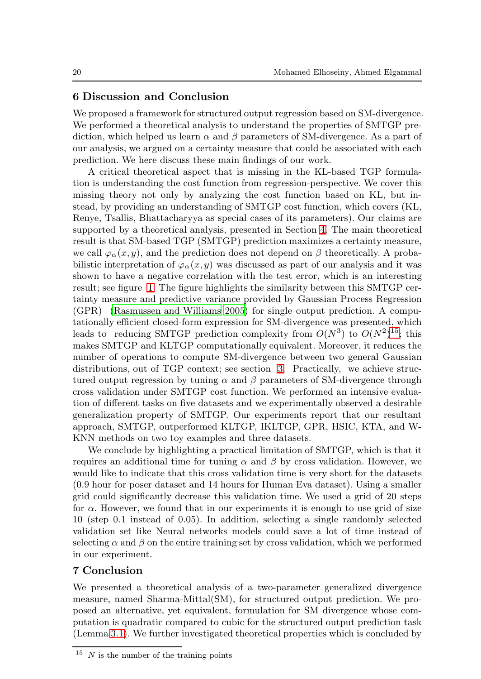## 6 Discussion and Conclusion

We proposed a framework for structured output regression based on SM-divergence. We performed a theoretical analysis to understand the properties of SMTGP prediction, which helped us learn  $\alpha$  and  $\beta$  parameters of SM-divergence. As a part of our analysis, we argued on a certainty measure that could be associated with each prediction. We here discuss these main findings of our work.

A critical theoretical aspect that is missing in the KL-based TGP formulation is understanding the cost function from regression-perspective. We cover this missing theory not only by analyzing the cost function based on KL, but instead, by providing an understanding of SMTGP cost function, which covers (KL, Renye, Tsallis, Bhattacharyya as special cases of its parameters). Our claims are supported by a theoretical analysis, presented in Section [4.](#page-9-0) The main theoretical result is that SM-based TGP (SMTGP) prediction maximizes a certainty measure, we call  $\varphi_{\alpha}(x, y)$ , and the prediction does not depend on  $\beta$  theoretically. A probabilistic interpretation of  $\varphi_{\alpha}(x, y)$  was discussed as part of our analysis and it was shown to have a negative correlation with the test error, which is an interesting result; see figure [1.](#page-12-1) The figure highlights the similarity between this SMTGP certainty measure and predictive variance provided by Gaussian Process Regression (GPR) [\(Rasmussen and Williams 2005\)](#page-24-19) for single output prediction. A computationally efficient closed-form expression for SM-divergence was presented, which leads to reducing SMTGP prediction complexity from  $O(N^3)$  to  $O(N^2)^{15}$  $O(N^2)^{15}$  $O(N^2)^{15}$ ; this makes SMTGP and KLTGP computationally equivalent. Moreover, it reduces the number of operations to compute SM-divergence between two general Gaussian distributions, out of TGP context; see section [3.](#page-4-0) Practically, we achieve structured output regression by tuning  $\alpha$  and  $\beta$  parameters of SM-divergence through cross validation under SMTGP cost function. We performed an intensive evaluation of different tasks on five datasets and we experimentally observed a desirable generalization property of SMTGP. Our experiments report that our resultant approach, SMTGP, outperformed KLTGP, IKLTGP, GPR, HSIC, KTA, and W-KNN methods on two toy examples and three datasets.

We conclude by highlighting a practical limitation of SMTGP, which is that it requires an additional time for tuning  $\alpha$  and  $\beta$  by cross validation. However, we would like to indicate that this cross validation time is very short for the datasets (0.9 hour for poser dataset and 14 hours for Human Eva dataset). Using a smaller grid could significantly decrease this validation time. We used a grid of 20 steps for  $\alpha$ . However, we found that in our experiments it is enough to use grid of size 10 (step 0.1 instead of 0.05). In addition, selecting a single randomly selected validation set like Neural networks models could save a lot of time instead of selecting  $\alpha$  and  $\beta$  on the entire training set by cross validation, which we performed in our experiment.

# 7 Conclusion

We presented a theoretical analysis of a two-parameter generalized divergence measure, named Sharma-Mittal(SM), for structured output prediction. We proposed an alternative, yet equivalent, formulation for SM divergence whose computation is quadratic compared to cubic for the structured output prediction task (Lemma [3.1\)](#page-7-1). We further investigated theoretical properties which is concluded by

<span id="page-19-0"></span> $15$  N is the number of the training points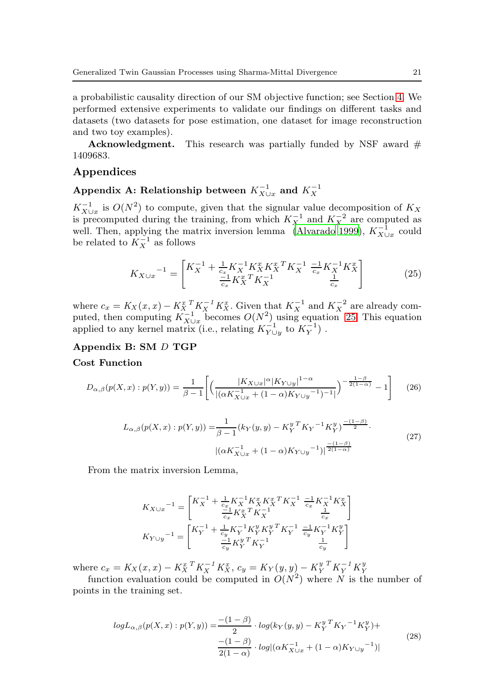a probabilistic causality direction of our SM objective function; see Section [4.](#page-9-0) We performed extensive experiments to validate our findings on different tasks and datasets (two datasets for pose estimation, one dataset for image reconstruction and two toy examples).

**Acknowledgment.** This research was partially funded by NSF award  $#$ 1409683.

## Appendices

# Appendix A: Relationship between  $K_{X\cup x}^{-1}$  and  $K_X^{-1}$

 $K_{X\cup x}^{-1}$  is  $O(N^2)$  to compute, given that the signular value decomposition of  $K_X$ is precomputed during the training, from which  $K_X^{-1}$  and  $K_X^{-2}$  are computed as well. Then, applying the matrix inversion lemma [\(Alvarado 1999](#page-23-9)),  $K_{X\cup x}^{-1}$  could be related to  $K_X^{-1}$  as follows

<span id="page-20-0"></span>
$$
K_{X \cup x}^{\quad -1} = \begin{bmatrix} K_X^{-1} + \frac{1}{c_x} K_X^{-1} K_X^x K_X^x K_X^{-1} & \frac{-1}{c_x} K_X^{-1} K_X^x \\ \frac{-1}{c_x} K_X^x K_X^{-1} & \frac{1}{c_x} \end{bmatrix} \tag{25}
$$

where  $c_x = K_X(x, x) - K_X^x \left[ K_X^{-1} K_X^x \right]$ . Given that  $K_X^{-1}$  and  $K_X^{-2}$  are already computed, then computing  $K_{X\cup x}^{-1}$  becomes  $O(N^2)$  using equation [25.](#page-20-0) This equation applied to any kernel matrix (i.e., relating  $K_{Y\cup y}^{-1}$  to  $K_Y^{-1}$ ).

### Appendix B: SM D TGP

#### Cost Function

$$
D_{\alpha,\beta}(p(X,x):p(Y,y)) = \frac{1}{\beta - 1} \left[ \left( \frac{|K_{X \cup x}|^{\alpha} |K_{Y \cup y}|^{1-\alpha}}{|(\alpha K_{X \cup x}^{-1} + (1-\alpha)K_{Y \cup y}^{-1})^{-1}|} \right)^{-\frac{1-\beta}{2(1-\alpha)}} - 1 \right] \tag{26}
$$

$$
L_{\alpha,\beta}(p(X,x):p(Y,y)) = \frac{1}{\beta - 1} (k_Y(y,y) - K_Y^{y} K_Y^{-1} K_Y^{y})^{\frac{-(1-\beta)}{2}}.
$$
  

$$
|(\alpha K_{X \cup x}^{-1} + (1 - \alpha) K_{Y \cup y}^{-1})|^{\frac{-(1-\beta)}{2(1-\alpha)}}.
$$
 (27)

From the matrix inversion Lemma,

$$
\begin{aligned} K_{X \cup x}{}^{-1} &= \begin{bmatrix} K_{X}^{-1} + \frac{1}{c_{x}}K_{X}^{-1}K_{X}^{x}K_{X}^{x}{}^{T}K_{X}^{-1} \ \frac{-1}{c_{x}}K_{X}^{-1}K_{X}^{x} \\ \frac{-1}{c_{x}}K_{X}^{x}{}^{T}K_{X}^{-1} & \frac{1}{c_{x}} \\ K_{Y \cup y}{}^{-1} &= \begin{bmatrix} K_{Y}^{-1} + \frac{1}{c_{y}}K_{Y}^{-1}K_{Y}^{y}K_{Y}^{y}{}^{T}K_{Y}^{-1} \ \frac{-1}{c_{y}}K_{Y}^{-1}K_{Y}^{y} \\ \frac{-1}{c_{y}}K_{Y}^{y}{}^{T}K_{Y}^{-1} & \frac{1}{c_{y}} \end{bmatrix} \end{aligned}
$$

where  $c_x = K_X(x, x) - K_X^{x}{}^T K_X^{-1} K_X^x$ ,  $c_y = K_Y(y, y) - K_Y^{y}{}^T K_Y^{-1} K_Y^{y}$ 

function evaluation could be computed in  $O(N^2)$  where N is the number of points in the training set.

$$
logL_{\alpha,\beta}(p(X,x):p(Y,y)) = \frac{-(1-\beta)}{2} \cdot log(k_Y(y,y) - K_Y^{y \, T} K_Y^{-1} K_Y^{y}) + \frac{-(1-\beta)}{2(1-\alpha)} \cdot log((\alpha K_{X \cup x}^{-1} + (1-\alpha) K_{Y \cup y}^{-1}))
$$
\n
$$
(28)
$$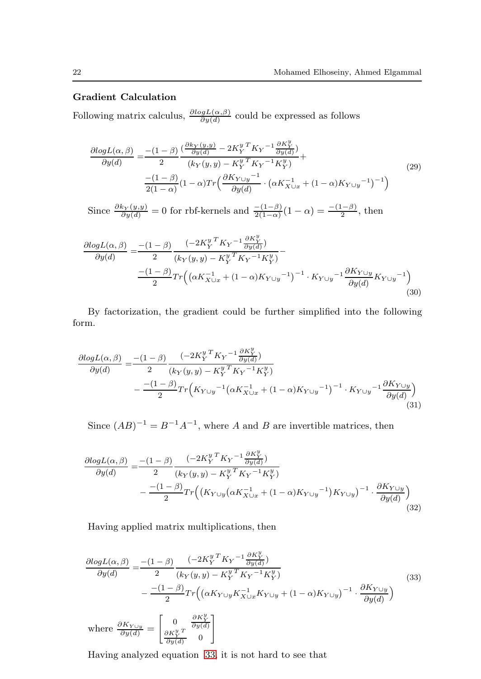### Gradient Calculation

Following matrix calculus,  $\frac{\partial log L(\alpha, \beta)}{\partial y(d)}$  could be expressed as follows

$$
\frac{\partial log L(\alpha, \beta)}{\partial y(d)} = \frac{-(1-\beta)}{2} \frac{\left(\frac{\partial k_Y(y, y)}{\partial y(d)} - 2K_Y^{y \, T} K_Y^{-1} \frac{\partial K_Y^y}{\partial y(d)}\right)}{\left(k_Y(y, y) - K_Y^{y \, T} K_Y^{-1} K_Y^y\right)} + \frac{-(1-\beta)}{2(1-\alpha)} (1-\alpha) Tr \left(\frac{\partial K_{Y \cup y}^{-1}}{\partial y(d)} \cdot \left(\alpha K_{X \cup x}^{-1} + (1-\alpha) K_{Y \cup y}^{-1}\right)^{-1}\right)
$$
\n(29)

Since  $\frac{\partial k_Y(y,y)}{\partial y(d)} = 0$  for rbf-kernels and  $\frac{-(1-\beta)}{2(1-\alpha)}(1-\alpha) = \frac{-(1-\beta)}{2}$ , then

$$
\frac{\partial log L(\alpha, \beta)}{\partial y(d)} = \frac{-(1-\beta)}{2} \frac{(-2K_Y^{y} K_Y^{ -1} \frac{\partial K_Y^y}{\partial y(d)})}{(k_Y(y, y) - K_Y^{y} K_Y^{ -1} K_Y^y)} - \frac{-(1-\beta)}{2} Tr \left( (\alpha K_{X \cup x}^{-1} + (1-\alpha) K_{Y \cup y}^{-1})^{-1} \cdot K_{Y \cup y}^{-1} \frac{\partial K_{Y \cup y}}{\partial y(d)} K_{Y \cup y}^{-1} \right)
$$
\n(30)

By factorization, the gradient could be further simplified into the following form.

$$
\frac{\partial log L(\alpha, \beta)}{\partial y(d)} = \frac{-(1-\beta)}{2} \frac{(-2K_Y^{yT} K_Y^{-1} \frac{\partial K_Y^{y}}{\partial y(d)})}{(k_Y(y, y) - K_Y^{yT} K_Y^{-1} K_Y^{y})} - \frac{-(1-\beta)}{2} Tr(K_{Y \cup y}^{-1} (\alpha K_{X \cup x}^{-1} + (1-\alpha) K_{Y \cup y}^{-1})^{-1} \cdot K_{Y \cup y}^{-1} \frac{\partial K_{Y \cup y}}{\partial y(d)})
$$
\n(31)

Since  $(AB)^{-1} = B^{-1}A^{-1}$ , where A and B are invertible matrices, then

$$
\frac{\partial log L(\alpha, \beta)}{\partial y(d)} = \frac{-(1-\beta)}{2} \frac{(-2K_Y^{y \,T} K_Y^{-1} \frac{\partial K_Y^y}{\partial y(d)})}{(k_Y(y, y) - K_Y^{y \,T} K_Y^{-1} K_Y^y)} - \frac{-(1-\beta)}{2} Tr \Big( (K_{Y \cup y} (\alpha K_{X \cup x}^{-1} + (1-\alpha) K_{Y \cup y}^{-1}) K_{Y \cup y})^{-1} \cdot \frac{\partial K_{Y \cup y}}{\partial y(d)} \Big) \tag{32}
$$

Having applied matrix multiplications, then

<span id="page-21-0"></span>
$$
\frac{\partial log L(\alpha, \beta)}{\partial y(d)} = \frac{-(1-\beta)}{2} \frac{(-2K_Y^{y \,T} K_Y^{-1} \frac{\partial K_Y^y}{\partial y(d)})}{(k_Y(y, y) - K_Y^{y \,T} K_Y^{-1} K_Y^y)} - \frac{-(1-\beta)}{2} Tr \left( (\alpha K_{Y \cup y} K_{X \cup x}^{-1} K_{Y \cup y} + (1-\alpha) K_{Y \cup y})^{-1} \cdot \frac{\partial K_{Y \cup y}}{\partial y(d)} \right)
$$
\nwhere  $\frac{\partial K_{Y \cup y}}{\partial y(d)} = \begin{bmatrix} 0 & \frac{\partial K_Y^y}{\partial y(d)} \\ \frac{\partial K_Y^y}{\partial y(d)} & 0 \end{bmatrix}$ 

\n(33)

Having analyzed equation [33,](#page-21-0) it is not hard to see that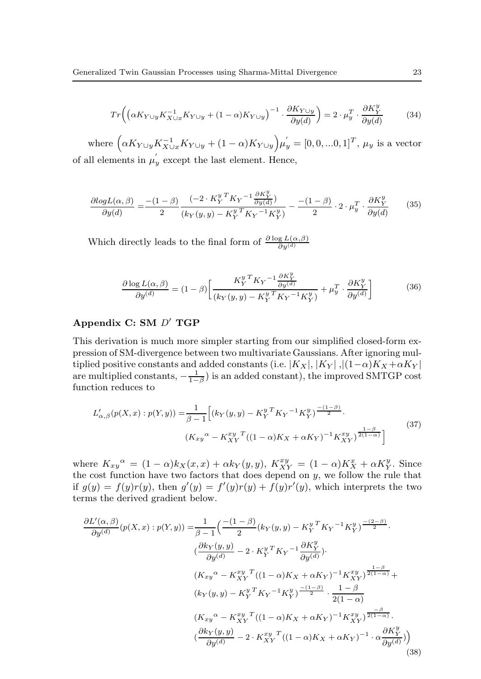$$
Tr\left(\left(\alpha K_{Y\cup y} K_{X\cup x}^{-1} K_{Y\cup y} + (1 - \alpha) K_{Y\cup y}\right)^{-1} \cdot \frac{\partial K_{Y\cup y}}{\partial y(d)}\right) = 2 \cdot \mu_y^T \cdot \frac{\partial K_Y^y}{\partial y(d)}\tag{34}
$$

where  $(\alpha K_{Y\cup y}K_{X\cup x}^{-1}K_{Y\cup y} + (1-\alpha)K_{Y\cup y})\mu'_y = [0, 0, ...0, 1]^T$ ,  $\mu_y$  is a vector of all elements in  $\mu_y$  except the last element. Hence,

$$
\frac{\partial \log L(\alpha, \beta)}{\partial y(d)} = \frac{-(1-\beta)}{2} \frac{\left(-2 \cdot K_Y^{y \, T} K_Y^{-1} \frac{\partial K_Y^y}{\partial y(d)}\right)}{\left(k_Y(y, y) - K_Y^{y \, T} K_Y^{-1} K_Y^y\right)} - \frac{-(1-\beta)}{2} \cdot 2 \cdot \mu_y^T \cdot \frac{\partial K_Y^y}{\partial y(d)}\tag{35}
$$

Which directly leads to the final form of  $\frac{\partial \log L(\alpha, \beta)}{\partial y^{(d)}}$ 

$$
\frac{\partial \log L(\alpha, \beta)}{\partial y^{(d)}} = (1 - \beta) \left[ \frac{K_Y^{y \, T} K_Y^{-1} \frac{\partial K_Y^y}{\partial y^{(d)}}}{(k_Y(y, y) - K_Y^{y \, T} K_Y^{-1} K_Y^y)} + \mu_y^T \cdot \frac{\partial K_Y^y}{\partial y^{(d)}} \right]
$$
(36)

# Appendix C: SM D ′ TGP

This derivation is much more simpler starting from our simplified closed-form expression of SM-divergence between two multivariate Gaussians. After ignoring multiplied positive constants and added constants (i.e.  $|K_X|, |K_Y|, |(1-\alpha)K_X + \alpha K_Y|$ are multiplied constants,  $-\frac{1}{1-\beta}$ ) is an added constant), the improved SMTGP cost function reduces to

$$
L'_{\alpha,\beta}(p(X,x):p(Y,y)) = \frac{1}{\beta-1} \left[ (k_Y(y,y) - K_Y^{y} K_Y^{-1} K_Y^{y})^{\frac{-(1-\beta)}{2}} \cdot \right. (K_{xy}{}^{\alpha} - K_{XY}^{xy}{}^T ((1-\alpha)K_X + \alpha K_Y)^{-1} K_{XY}^{xy})^{\frac{1-\beta}{2(1-\alpha)}} \right]
$$
(37)

where  $K_{xy}^{\alpha} = (1 - \alpha)k_X(x, x) + \alpha k_Y(y, y)$ ,  $K_{XY}^{xy} = (1 - \alpha)K_X^x + \alpha K_Y^y$ . Since the cost function have two factors that does depend on  $y$ , we follow the rule that if  $g(y) = f(y)r(y)$ , then  $g'(y) = f'(y)r(y) + f(y)r'(y)$ , which interprets the two terms the derived gradient below.

$$
\frac{\partial L'(\alpha,\beta)}{\partial y^{(d)}}(p(X,x):p(Y,y)) = \frac{1}{\beta-1} \left( \frac{-(1-\beta)}{2} (k_Y(y,y) - K_Y^{y} {}^T K_Y^{-1} K_Y^{y}) \frac{-(2-\beta)}{2} \cdot \frac{(\partial k_Y(y,y) - 2 \cdot K_Y^{y} {}^T K_Y^{-1} \frac{\partial K_Y^{y}}{\partial y^{(d)}}) \cdot (\partial k_Y(y,y) - 2 \cdot K_Y^{y} {}^T K_Y^{-1} \frac{\partial K_Y^{y}}{\partial y^{(d)}}) \cdot \frac{(\partial k_Y(y,y) - K_{XY}^{y} {}^T ((1-\alpha)K_X + \alpha K_Y)^{-1} K_{XY}^{xy}) \frac{1-\beta}{2(1-\alpha)}}{(\partial k_Y(y,y) - K_Y^{y} {}^T K_Y^{-1} K_Y^{y}) \frac{-(1-\beta)}{2} \cdot \frac{1-\beta}{2(1-\alpha)}} \cdot \frac{(\partial k_Y(y,y) - K_{XY}^{y} {}^T ((1-\alpha)K_X + \alpha K_Y)^{-1} K_{XY}^{xy}) \frac{-\beta}{2(1-\alpha)}}{(\partial y^{(d)})} \cdot \frac{(\partial k_Y(y,y) - 2 \cdot K_{XY}^{xy} {}^T ((1-\alpha)K_X + \alpha K_Y)^{-1} \cdot \alpha \frac{\partial K_Y^{y}}{\partial y^{(d)}}))}{(38)}
$$
\n(38)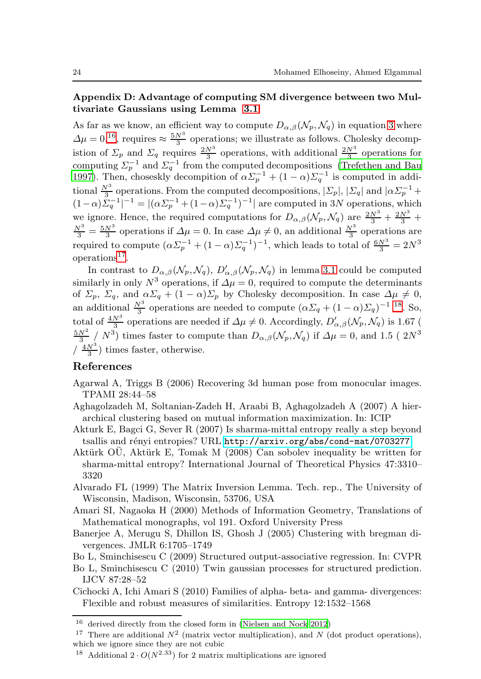## Appendix D: Advantage of computing SM divergence between two Multivariate Gaussians using Lemma [3.1](#page-7-1)

As far as we know, an efficient way to compute  $D_{\alpha,\beta}(\mathcal{N}_p,\mathcal{N}_q)$  in equation [3](#page-4-3) where  $\Delta \mu = 0,^{16}$  $\Delta \mu = 0,^{16}$  $\Delta \mu = 0,^{16}$ , requires  $\approx \frac{5N^3}{3}$  operations; we illustrate as follows. Cholesky decomp- $\frac{\Delta p}{\Delta q} = 0$ , requires  $\frac{2N^3}{3}$  operations, with additional  $\frac{2N^3}{3}$  operations for computing  $\Sigma_p^{-1}$  and  $\Sigma_q^{-1}$  from the computed decompositions [\(Trefethen and Bau](#page-25-9) [1997\)](#page-25-9). Then, choseskly decompition of  $\alpha \Sigma_p^{-1} + (1 - \alpha) \Sigma_q^{-1}$  is computed in additional  $\frac{N^3}{3}$  operations. From the computed decompositions,  $|\Sigma_p|$ ,  $|\Sigma_q|$  and  $|\alpha \Sigma_p^{-1}$  +  $(1-\alpha)\Sigma_q^{-1}|^{-1} = |(\alpha\Sigma_p^{-1} + (1-\alpha)\Sigma_q^{-1})^{-1}|$  are computed in 3N operations, which we ignore. Hence, the required computations for  $D_{\alpha,\beta}(\mathcal{N}_p, \mathcal{N}_q)$  are  $\frac{2N^3}{3} + \frac{2N^3}{3} + \frac{N^3}{3} = \frac{5N^3}{3}$  operations if  $\Delta \mu = 0$ . In case  $\Delta \mu \neq 0$ , an additional  $\frac{N^3}{3}$  operations are required to compute  $(\alpha \Sigma_p^{-1} + (1 - \alpha) \Sigma_q^{-1})^{-1}$ , which leads to total of  $\frac{6N^3}{3} = 2N^3$ operations<sup>[17](#page-23-11)</sup>.

In contrast to  $D_{\alpha,\beta}(\mathcal{N}_p,\mathcal{N}_q)$ ,  $D'_{\alpha,\beta}(\mathcal{N}_p,\mathcal{N}_q)$  in lemma [3.1](#page-7-1) could be computed similarly in only  $N^3$  operations, if  $\Delta \mu = 0$ , required to compute the determinants of  $\Sigma_p$ ,  $\Sigma_q$ , and  $\alpha \Sigma_q + (1 - \alpha) \Sigma_p$  by Cholesky decomposition. In case  $\Delta \mu \neq 0$ , an additional  $\frac{N^3}{3}$  operations are needed to compute  $(\alpha \Sigma_q + (1 - \alpha) \Sigma_q)^{-1}$  [18](#page-23-12). So, total of  $\frac{4N^3}{3}$  operations are needed if  $\Delta\mu \neq 0$ . Accordingly,  $D'_{\alpha,\beta}(\mathcal{N}_p, \mathcal{N}_q)$  is 1.67 (  $\frac{5N^2}{3}$  /  $N^3$ ) times faster to compute than  $D_{\alpha,\beta}(\mathcal{N}_p,\mathcal{N}_q)$  if  $\Delta\mu=0$ , and 1.5 (  $2N^3$  $\left(\frac{4N^3}{3}\right)$  times faster, otherwise.

# References

- <span id="page-23-7"></span>Agarwal A, Triggs B (2006) Recovering 3d human pose from monocular images. TPAMI 28:44–58
- <span id="page-23-1"></span>Aghagolzadeh M, Soltanian-Zadeh H, Araabi B, Aghagolzadeh A (2007) A hierarchical clustering based on mutual information maximization. In: ICIP
- <span id="page-23-5"></span>Akturk E, Bagci G, Sever R (2007) Is sharma-mittal entropy really a step beyond tsallis and rényi entropies? URL <http://arxiv.org/abs/cond-mat/0703277>
- <span id="page-23-6"></span>Aktürk OU, Aktürk E, Tomak M  $(2008)$  Can sobolev inequality be written for sharma-mittal entropy? International Journal of Theoretical Physics 47:3310– 3320
- <span id="page-23-9"></span>Alvarado FL (1999) The Matrix Inversion Lemma. Tech. rep., The University of Wisconsin, Madison, Wisconsin, 53706, USA
- <span id="page-23-3"></span>Amari SI, Nagaoka H (2000) Methods of Information Geometry, Translations of Mathematical monographs, vol 191. Oxford University Press
- <span id="page-23-2"></span>Banerjee A, Merugu S, Dhillon IS, Ghosh J (2005) Clustering with bregman divergences. JMLR 6:1705–1749
- <span id="page-23-8"></span>Bo L, Sminchisescu C (2009) Structured output-associative regression. In: CVPR
- <span id="page-23-0"></span>Bo L, Sminchisescu C (2010) Twin gaussian processes for structured prediction. IJCV 87:28–52
- <span id="page-23-4"></span>Cichocki A, Ichi Amari S (2010) Families of alpha- beta- and gamma- divergences: Flexible and robust measures of similarities. Entropy 12:1532–1568

<sup>16</sup> derived directly from the closed form in [\(Nielsen and Nock 2012](#page-24-16))

<span id="page-23-10"></span><sup>&</sup>lt;sup>17</sup> There are additional  $N^2$  (matrix vector multiplication), and N (dot product operations), which we ignore since they are not cubic

<span id="page-23-12"></span><span id="page-23-11"></span><sup>&</sup>lt;sup>18</sup> Additional  $2 \cdot O(N^{2.33})$  for 2 matrix multiplications are ignored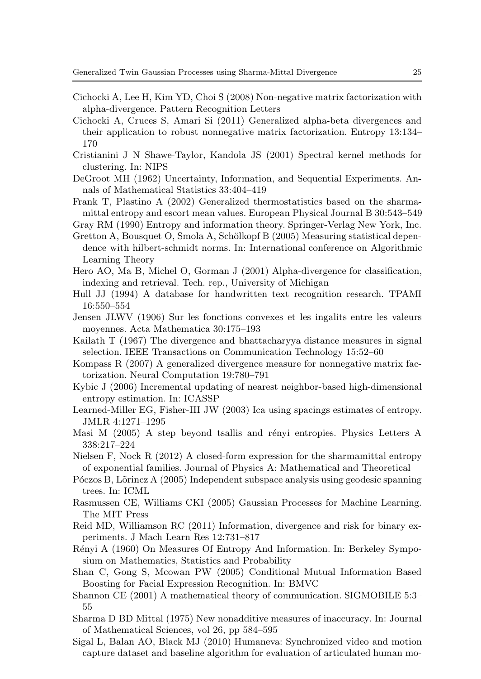- <span id="page-24-11"></span>Cichocki A, Lee H, Kim YD, Choi S (2008) Non-negative matrix factorization with alpha-divergence. Pattern Recognition Letters
- <span id="page-24-13"></span>Cichocki A, Cruces S, Amari Si (2011) Generalized alpha-beta divergences and their application to robust nonnegative matrix factorization. Entropy 13:134– 170
- <span id="page-24-22"></span>Cristianini J N Shawe-Taylor, Kandola JS (2001) Spectral kernel methods for clustering. In: NIPS
- <span id="page-24-8"></span>DeGroot MH (1962) Uncertainty, Information, and Sequential Experiments. Annals of Mathematical Statistics 33:404–419
- <span id="page-24-18"></span>Frank T, Plastino A (2002) Generalized thermostatistics based on the sharmamittal entropy and escort mean values. European Physical Journal B 30:543–549
- <span id="page-24-2"></span>Gray RM (1990) Entropy and information theory. Springer-Verlag New York, Inc.
- <span id="page-24-21"></span>Gretton A, Bousquet O, Smola A, Schölkopf B (2005) Measuring statistical dependence with hilbert-schmidt norms. In: International conference on Algorithmic Learning Theory
- <span id="page-24-6"></span>Hero AO, Ma B, Michel O, Gorman J (2001) Alpha-divergence for classification, indexing and retrieval. Tech. rep., University of Michigan
- <span id="page-24-23"></span>Hull JJ (1994) A database for handwritten text recognition research. TPAMI 16:550–554
- <span id="page-24-9"></span>Jensen JLWV (1906) Sur les fonctions convexes et les ingalits entre les valeurs moyennes. Acta Mathematica 30:175–193
- <span id="page-24-17"></span>Kailath T (1967) The divergence and bhattacharyya distance measures in signal selection. IEEE Transactions on Communication Technology 15:52–60
- <span id="page-24-12"></span>Kompass R (2007) A generalized divergence measure for nonnegative matrix factorization. Neural Computation 19:780–791
- <span id="page-24-7"></span>Kybic J (2006) Incremental updating of nearest neighbor-based high-dimensional entropy estimation. In: ICASSP
- <span id="page-24-3"></span>Learned-Miller EG, Fisher-III JW (2003) Ica using spacings estimates of entropy. JMLR 4:1271–1295
- <span id="page-24-15"></span>Masi M  $(2005)$  A step beyond tsallis and rényi entropies. Physics Letters A 338:217–224
- <span id="page-24-16"></span>Nielsen F, Nock R  $(2012)$  A closed-form expression for the sharmamittal entropy of exponential families. Journal of Physics A: Mathematical and Theoretical
- <span id="page-24-4"></span>Póczos B, Lõrincz A (2005) Independent subspace analysis using geodesic spanning trees. In: ICML
- <span id="page-24-19"></span>Rasmussen CE, Williams CKI (2005) Gaussian Processes for Machine Learning. The MIT Press
- <span id="page-24-10"></span>Reid MD, Williamson RC (2011) Information, divergence and risk for binary experiments. J Mach Learn Res 12:731–817
- <span id="page-24-1"></span>Rényi A (1960) On Measures Of Entropy And Information. In: Berkeley Symposium on Mathematics, Statistics and Probability
- <span id="page-24-5"></span>Shan C, Gong S, Mcowan PW (2005) Conditional Mutual Information Based Boosting for Facial Expression Recognition. In: BMVC
- <span id="page-24-0"></span>Shannon CE (2001) A mathematical theory of communication. SIGMOBILE 5:3– 55
- <span id="page-24-14"></span>Sharma D BD Mittal (1975) New nonadditive measures of inaccuracy. In: Journal of Mathematical Sciences, vol 26, pp 584–595
- <span id="page-24-20"></span>Sigal L, Balan AO, Black MJ (2010) Humaneva: Synchronized video and motion capture dataset and baseline algorithm for evaluation of articulated human mo-